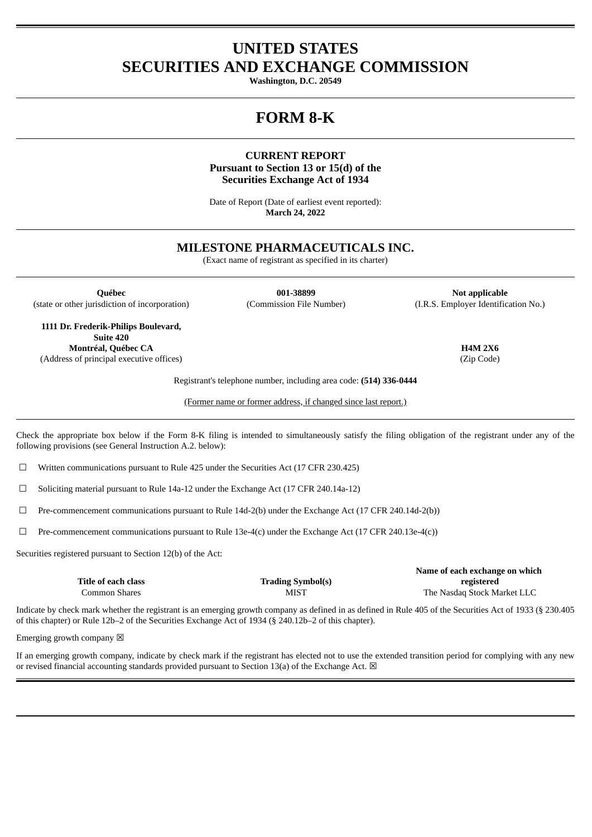# **UNITED STATES SECURITIES AND EXCHANGE COMMISSION**

**Washington, D.C. 20549**

# **FORM 8-K**

## **CURRENT REPORT Pursuant to Section 13 or 15(d) of the Securities Exchange Act of 1934**

Date of Report (Date of earliest event reported): **March 24, 2022**

## **MILESTONE PHARMACEUTICALS INC.**

(Exact name of registrant as specified in its charter)

**Québec 001-38899 Not applicable** (state or other jurisdiction of incorporation) (Commission File Number) (I.R.S. Employer Identification No.)

**1111 Dr. Frederik-Philips Boulevard, Suite 420 Montréal, Québec CA H4M 2X6** (Address of principal executive offices) (Zip Code)

Registrant's telephone number, including area code: **(514) 336-0444**

(Former name or former address, if changed since last report.)

Check the appropriate box below if the Form 8-K filing is intended to simultaneously satisfy the filing obligation of the registrant under any of the following provisions (see General Instruction A.2. below):

 $\Box$  Written communications pursuant to Rule 425 under the Securities Act (17 CFR 230.425)

 $\Box$  Soliciting material pursuant to Rule 14a-12 under the Exchange Act (17 CFR 240.14a-12)

 $\Box$  Pre-commencement communications pursuant to Rule 14d-2(b) under the Exchange Act (17 CFR 240.14d-2(b))

 $\Box$  Pre-commencement communications pursuant to Rule 13e-4(c) under the Exchange Act (17 CFR 240.13e-4(c))

Securities registered pursuant to Section 12(b) of the Act:

|                     |                          | Name of each exchange on which |
|---------------------|--------------------------|--------------------------------|
| Title of each class | <b>Trading Symbol(s)</b> | registered                     |
| Common Shares       | <b>MIST</b>              | The Nasdag Stock Market LLC    |

Indicate by check mark whether the registrant is an emerging growth company as defined in as defined in Rule 405 of the Securities Act of 1933 (§ 230.405 of this chapter) or Rule 12b–2 of the Securities Exchange Act of 1934 (§ 240.12b–2 of this chapter).

Emerging growth company  $\boxtimes$ 

If an emerging growth company, indicate by check mark if the registrant has elected not to use the extended transition period for complying with any new or revised financial accounting standards provided pursuant to Section 13(a) of the Exchange Act.  $\boxtimes$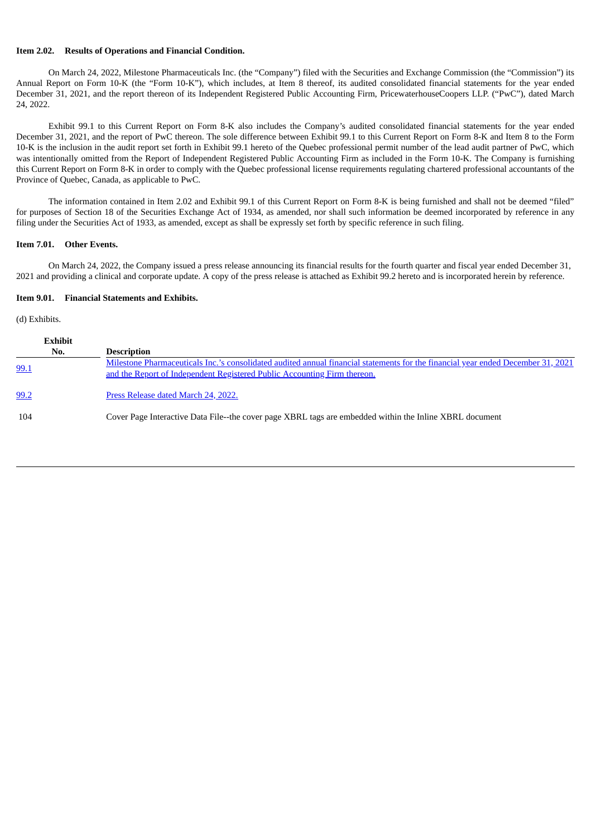#### **Item 2.02. Results of Operations and Financial Condition.**

On March 24, 2022, Milestone Pharmaceuticals Inc. (the "Company") filed with the Securities and Exchange Commission (the "Commission") its Annual Report on Form 10-K (the "Form 10-K"), which includes, at Item 8 thereof, its audited consolidated financial statements for the year ended December 31, 2021, and the report thereon of its Independent Registered Public Accounting Firm, PricewaterhouseCoopers LLP. ("PwC"), dated March 24, 2022.

Exhibit 99.1 to this Current Report on Form 8-K also includes the Company's audited consolidated financial statements for the year ended December 31, 2021, and the report of PwC thereon. The sole difference between Exhibit 99.1 to this Current Report on Form 8-K and Item 8 to the Form 10-K is the inclusion in the audit report set forth in Exhibit 99.1 hereto of the Quebec professional permit number of the lead audit partner of PwC, which was intentionally omitted from the Report of Independent Registered Public Accounting Firm as included in the Form 10-K. The Company is furnishing this Current Report on Form 8-K in order to comply with the Quebec professional license requirements regulating chartered professional accountants of the Province of Quebec, Canada, as applicable to PwC.

The information contained in Item 2.02 and Exhibit 99.1 of this Current Report on Form 8-K is being furnished and shall not be deemed "filed" for purposes of Section 18 of the Securities Exchange Act of 1934, as amended, nor shall such information be deemed incorporated by reference in any filing under the Securities Act of 1933, as amended, except as shall be expressly set forth by specific reference in such filing.

#### **Item 7.01. Other Events.**

On March 24, 2022, the Company issued a press release announcing its financial results for the fourth quarter and fiscal year ended December 31, 2021 and providing a clinical and corporate update. A copy of the press release is attached as Exhibit 99.2 hereto and is incorporated herein by reference.

#### **Item 9.01. Financial Statements and Exhibits.**

#### (d) Exhibits.

| <b>Exhibit</b> |                                                                                                                                                                                                              |
|----------------|--------------------------------------------------------------------------------------------------------------------------------------------------------------------------------------------------------------|
| No.            | <b>Description</b>                                                                                                                                                                                           |
| <u>99.1</u>    | Milestone Pharmaceuticals Inc.'s consolidated audited annual financial statements for the financial year ended December 31, 2021<br>and the Report of Independent Registered Public Accounting Firm thereon. |
| <u>99.2</u>    | Press Release dated March 24, 2022.                                                                                                                                                                          |
| 104            | Cover Page Interactive Data File--the cover page XBRL tags are embedded within the Inline XBRL document                                                                                                      |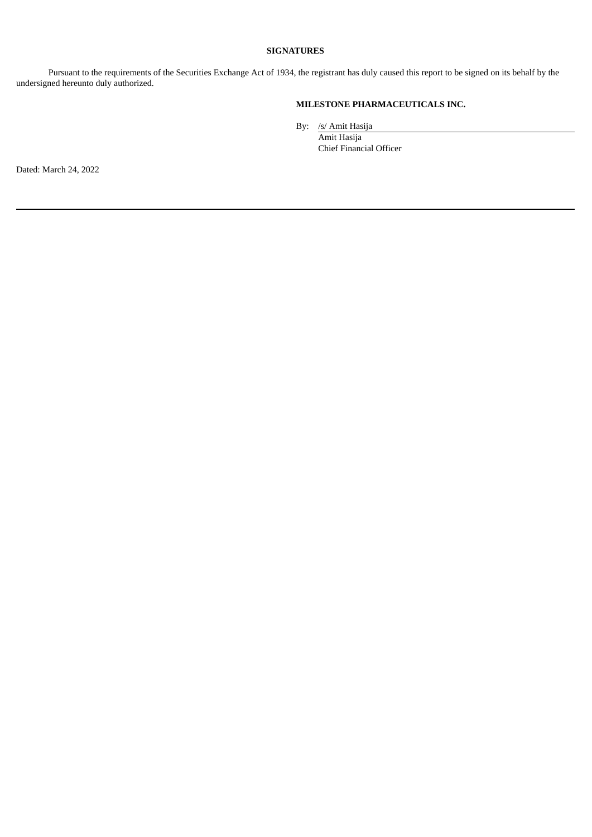## **SIGNATURES**

Pursuant to the requirements of the Securities Exchange Act of 1934, the registrant has duly caused this report to be signed on its behalf by the undersigned hereunto duly authorized.

## **MILESTONE PHARMACEUTICALS INC.**

By: /s/ Amit Hasija

Amit Hasija Chief Financial Officer

Dated: March 24, 2022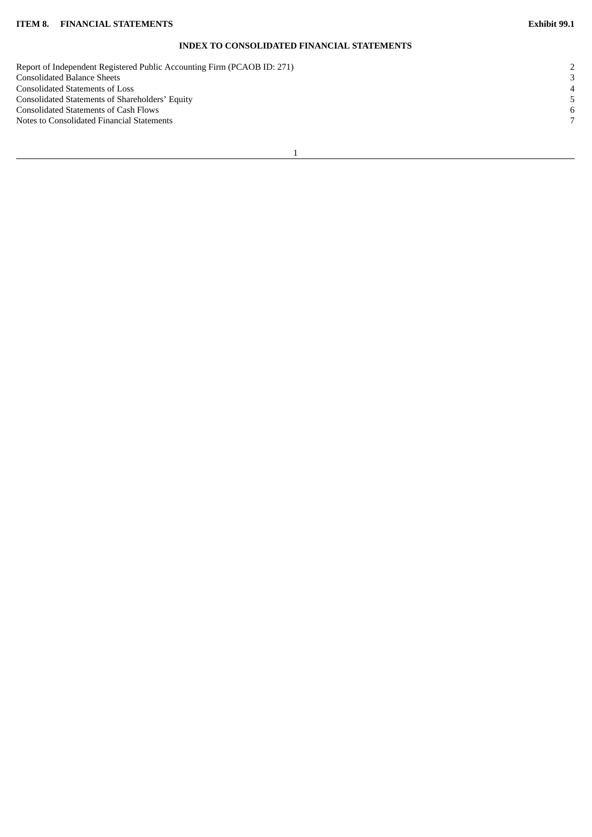## <span id="page-3-0"></span>**ITEM 8. FINANCIAL STATEMENTS Exhibit 99.1**

## **INDEX TO CONSOLIDATED FINANCIAL STATEMENTS**

Report of Independent Registered Public Accounting Firm (PCAOB ID: 271) 2 Consolidated Balance Sheets 3 Consolidated Statements of Loss 4<br>
Consolidated Statements of Shareholders' Equity 5 Consolidated Statements of Shareholders' Equity 5 Consolidated Statements of Cash Flows 6<br>Notes to Consolidated Financial Statements 6 Notes to Consolidated Financial Statements 7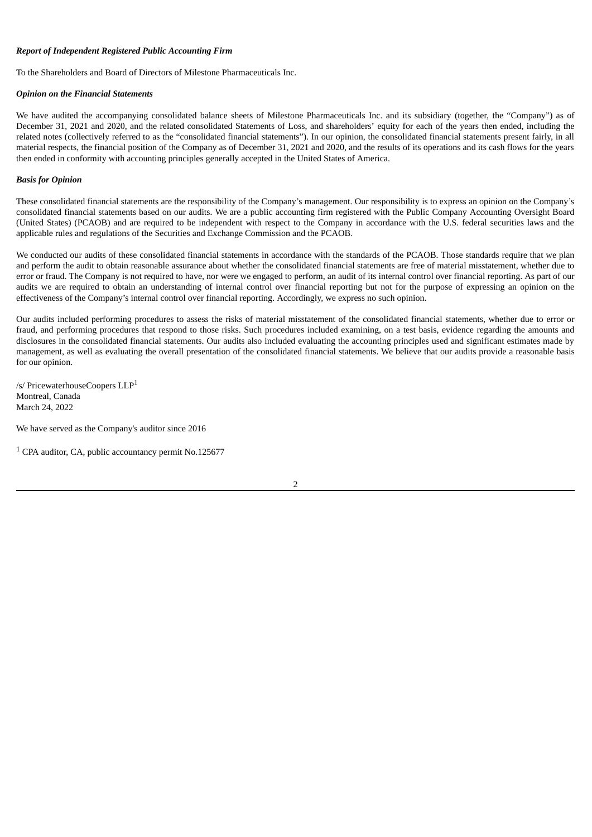#### *Report of Independent Registered Public Accounting Firm*

To the Shareholders and Board of Directors of Milestone Pharmaceuticals Inc.

#### *Opinion on the Financial Statements*

We have audited the accompanying consolidated balance sheets of Milestone Pharmaceuticals Inc. and its subsidiary (together, the "Company") as of December 31, 2021 and 2020, and the related consolidated Statements of Loss, and shareholders' equity for each of the years then ended, including the related notes (collectively referred to as the "consolidated financial statements"). In our opinion, the consolidated financial statements present fairly, in all material respects, the financial position of the Company as of December 31, 2021 and 2020, and the results of its operations and its cash flows for the years then ended in conformity with accounting principles generally accepted in the United States of America.

#### *Basis for Opinion*

These consolidated financial statements are the responsibility of the Company's management. Our responsibility is to express an opinion on the Company's consolidated financial statements based on our audits. We are a public accounting firm registered with the Public Company Accounting Oversight Board (United States) (PCAOB) and are required to be independent with respect to the Company in accordance with the U.S. federal securities laws and the applicable rules and regulations of the Securities and Exchange Commission and the PCAOB.

We conducted our audits of these consolidated financial statements in accordance with the standards of the PCAOB. Those standards require that we plan and perform the audit to obtain reasonable assurance about whether the consolidated financial statements are free of material misstatement, whether due to error or fraud. The Company is not required to have, nor were we engaged to perform, an audit of its internal control over financial reporting. As part of our audits we are required to obtain an understanding of internal control over financial reporting but not for the purpose of expressing an opinion on the effectiveness of the Company's internal control over financial reporting. Accordingly, we express no such opinion.

Our audits included performing procedures to assess the risks of material misstatement of the consolidated financial statements, whether due to error or fraud, and performing procedures that respond to those risks. Such procedures included examining, on a test basis, evidence regarding the amounts and disclosures in the consolidated financial statements. Our audits also included evaluating the accounting principles used and significant estimates made by management, as well as evaluating the overall presentation of the consolidated financial statements. We believe that our audits provide a reasonable basis for our opinion.

/s/ PricewaterhouseCoopers  ${\rm LLP}^1$ Montreal, Canada March 24, 2022

We have served as the Company's auditor since 2016

<sup>1</sup> CPA auditor, CA, public accountancy permit No.125677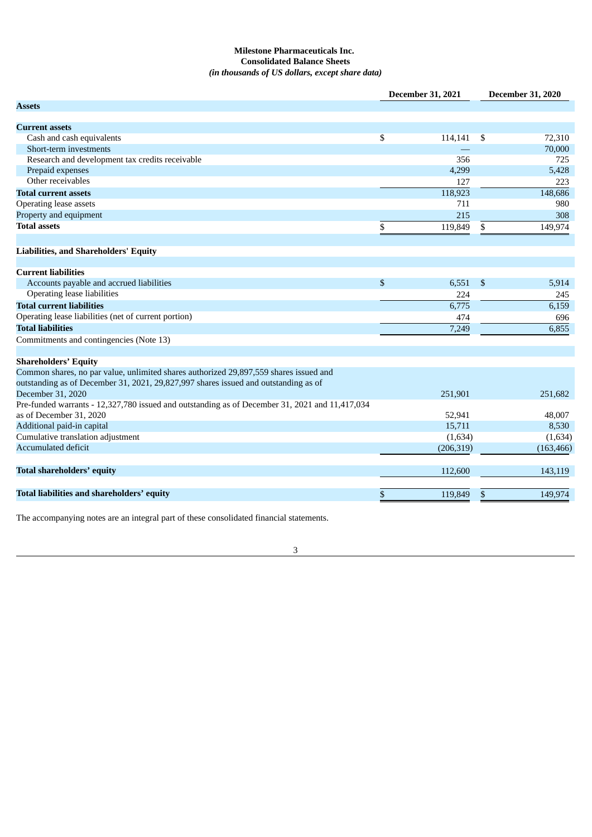## **Milestone Pharmaceuticals Inc. Consolidated Balance Sheets** *(in thousands of US dollars, except share data)*

|                                                                                                | December 31, 2021 |    | <b>December 31, 2020</b> |
|------------------------------------------------------------------------------------------------|-------------------|----|--------------------------|
| <b>Assets</b>                                                                                  |                   |    |                          |
|                                                                                                |                   |    |                          |
| <b>Current assets</b>                                                                          |                   |    |                          |
| Cash and cash equivalents                                                                      | \$<br>114,141     | \$ | 72,310                   |
| Short-term investments                                                                         |                   |    | 70,000                   |
| Research and development tax credits receivable                                                | 356               |    | 725                      |
| Prepaid expenses                                                                               | 4,299             |    | 5,428                    |
| Other receivables                                                                              | 127               |    | 223                      |
| <b>Total current assets</b>                                                                    | 118,923           |    | 148,686                  |
| <b>Operating lease assets</b>                                                                  | 711               |    | 980                      |
| Property and equipment                                                                         | 215               |    | 308                      |
| <b>Total assets</b>                                                                            | \$<br>119,849     | \$ | 149,974                  |
| <b>Liabilities, and Shareholders' Equity</b>                                                   |                   |    |                          |
|                                                                                                |                   |    |                          |
| <b>Current liabilities</b>                                                                     |                   |    |                          |
| Accounts payable and accrued liabilities                                                       | \$<br>6,551       | \$ | 5,914                    |
| Operating lease liabilities                                                                    | 224               |    | 245                      |
| <b>Total current liabilities</b>                                                               | 6,775             |    | 6,159                    |
| Operating lease liabilities (net of current portion)                                           | 474               |    | 696                      |
| <b>Total liabilities</b>                                                                       | 7,249             |    | 6,855                    |
| Commitments and contingencies (Note 13)                                                        |                   |    |                          |
| <b>Shareholders' Equity</b>                                                                    |                   |    |                          |
| Common shares, no par value, unlimited shares authorized 29,897,559 shares issued and          |                   |    |                          |
| outstanding as of December 31, 2021, 29,827,997 shares issued and outstanding as of            |                   |    |                          |
| December 31, 2020                                                                              | 251,901           |    | 251,682                  |
| Pre-funded warrants - 12,327,780 issued and outstanding as of December 31, 2021 and 11,417,034 |                   |    |                          |
| as of December 31, 2020                                                                        | 52,941            |    | 48,007                   |
| Additional paid-in capital                                                                     | 15,711            |    | 8,530                    |
| Cumulative translation adjustment                                                              | (1,634)           |    | (1,634)                  |
| <b>Accumulated deficit</b>                                                                     | (206, 319)        |    | (163, 466)               |
|                                                                                                |                   |    |                          |
| <b>Total shareholders' equity</b>                                                              | 112,600           |    | 143,119                  |
| Total liabilities and shareholders' equity                                                     | \$<br>119,849     | \$ | 149,974                  |
|                                                                                                |                   |    |                          |

3

The accompanying notes are an integral part of these consolidated financial statements.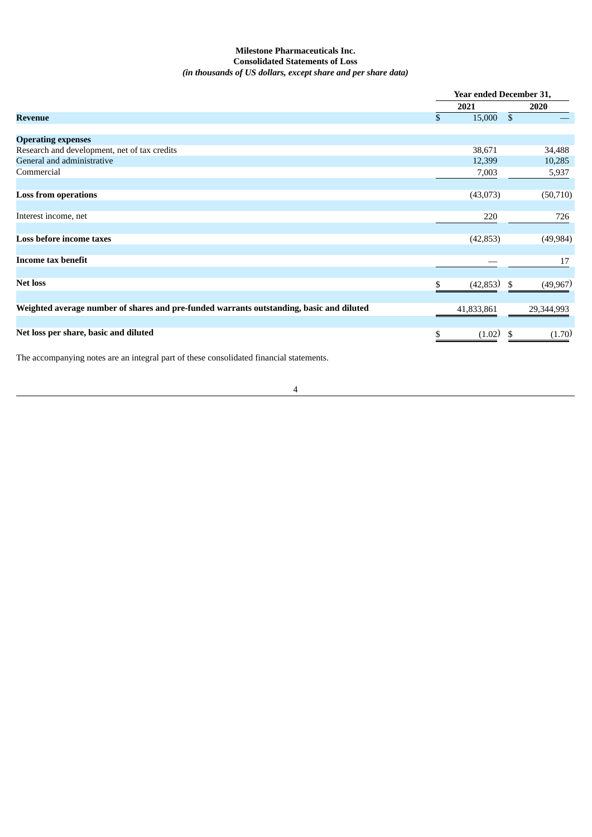## **Milestone Pharmaceuticals Inc. Consolidated Statements of Loss** *(in thousands of US dollars, except share and per share data)*

| Year ended December 31, |            |              |            |
|-------------------------|------------|--------------|------------|
|                         | 2021       |              | 2020       |
| \$                      | 15,000     | $\mathbb{S}$ |            |
|                         |            |              |            |
|                         | 38,671     |              | 34,488     |
|                         | 12,399     |              | 10,285     |
|                         | 7,003      |              | 5,937      |
|                         | (43,073)   |              | (50, 710)  |
|                         | 220        |              | 726        |
|                         | (42, 853)  |              | (49, 984)  |
|                         |            |              | 17         |
| \$                      | (42, 853)  | \$.          | (49, 967)  |
|                         | 41,833,861 |              | 29,344,993 |
|                         | (1.02)     | \$.          | (1.70)     |
|                         |            |              |            |

The accompanying notes are an integral part of these consolidated financial statements.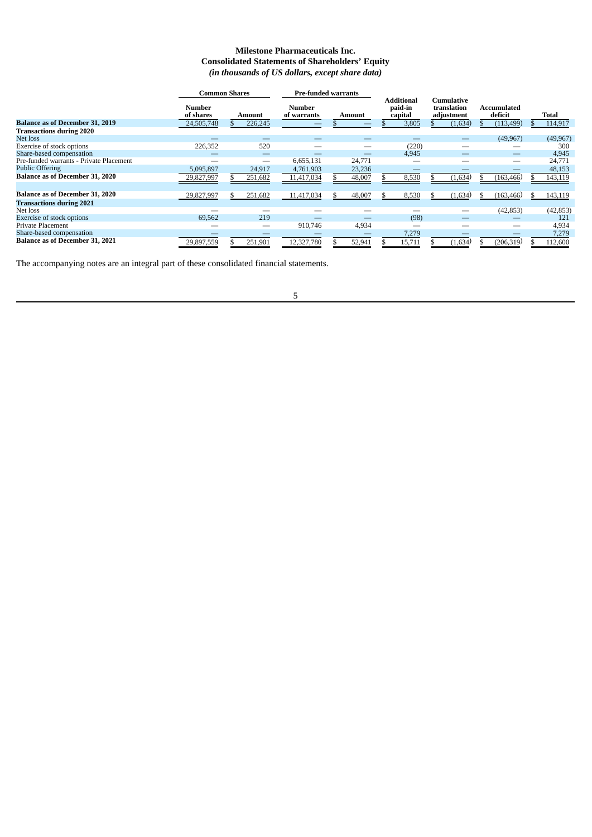## **Milestone Pharmaceuticals Inc. Consolidated Statements of Shareholders' Equity** *(in thousands of US dollars, except share data)*

|                                         |                     | <b>Pre-funded warrants</b><br><b>Common Shares</b> |         |                       |    |        |                                  |                                                |  |                        |    |           |
|-----------------------------------------|---------------------|----------------------------------------------------|---------|-----------------------|----|--------|----------------------------------|------------------------------------------------|--|------------------------|----|-----------|
|                                         | Number<br>of shares |                                                    | Amount  | Number<br>of warrants |    | Amount | Additional<br>paid-in<br>capital | <b>Cumulative</b><br>translation<br>adjustment |  | Accumulated<br>deficit |    | Total     |
| <b>Balance as of December 31, 2019</b>  | 24,505,748          |                                                    | 226,245 |                       |    |        | 3,805                            | (1,634)                                        |  | (113, 499)             |    | 114,917   |
| <b>Transactions during 2020</b>         |                     |                                                    |         |                       |    |        |                                  |                                                |  |                        |    |           |
| Net loss                                |                     |                                                    |         |                       |    |        |                                  |                                                |  | (49, 967)              |    | (49, 967) |
| Exercise of stock options               | 226,352             |                                                    | 520     |                       |    |        | (220)                            |                                                |  |                        |    | 300       |
| Share-based compensation                |                     |                                                    |         |                       |    |        | 4,945                            |                                                |  |                        |    | 4,945     |
| Pre-funded warrants - Private Placement |                     |                                                    |         | 6,655,131             |    | 24,771 |                                  |                                                |  |                        |    | 24,771    |
| <b>Public Offering</b>                  | 5,095,897           |                                                    | 24,917  | 4,761,903             |    | 23,236 |                                  |                                                |  |                        |    | 48,153    |
| <b>Balance as of December 31, 2020</b>  | 29,827,997          |                                                    | 251,682 | 11,417,034            |    | 48,007 | 8,530                            | (1,634)                                        |  | (163, 466)             |    | 143,119   |
| <b>Balance as of December 31, 2020</b>  | 29,827,997          |                                                    | 251,682 | 11,417,034            | S. | 48,007 | 8,530                            | (1,634)                                        |  | (163, 466)             | Ж. | 143,119   |
| <b>Transactions during 2021</b>         |                     |                                                    |         |                       |    |        |                                  |                                                |  |                        |    |           |
| Net loss                                |                     |                                                    |         |                       |    |        |                                  |                                                |  | (42, 853)              |    | (42, 853) |
| <b>Exercise of stock options</b>        | 69,562              |                                                    | 219     |                       |    |        | (98)                             |                                                |  |                        |    | 121       |
| Private Placement                       |                     |                                                    |         | 910,746               |    | 4,934  |                                  |                                                |  |                        |    | 4,934     |
| Share-based compensation                |                     |                                                    |         |                       |    |        | 7,279                            |                                                |  |                        |    | 7,279     |
| <b>Balance as of December 31, 2021</b>  | 29,897,559          |                                                    | 251,901 | 12,327,780            |    | 52,941 | 15,711                           | (1,634)                                        |  | (206, 319)             |    | 112,600   |

The accompanying notes are an integral part of these consolidated financial statements.

5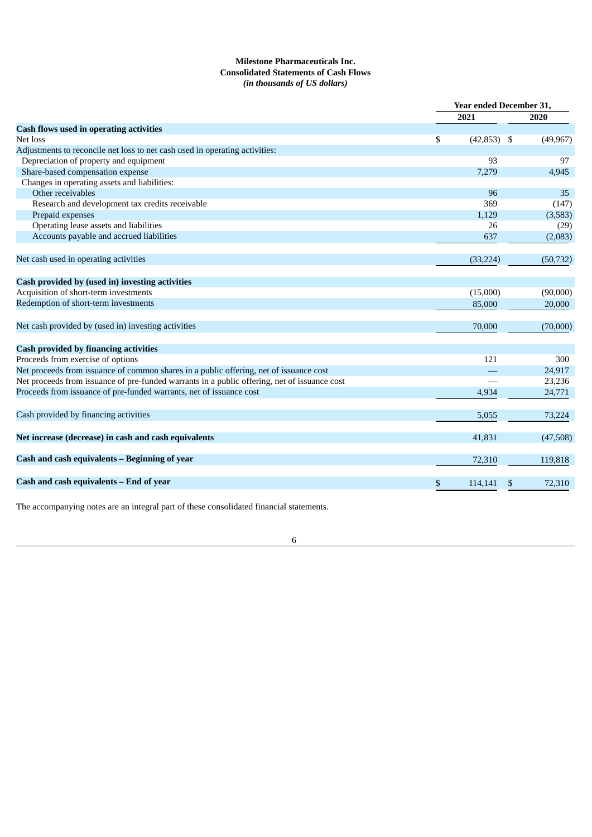#### **Milestone Pharmaceuticals Inc. Consolidated Statements of Cash Flows** *(in thousands of US dollars)*

|                                                                                              |    | 2021          | 2020      |
|----------------------------------------------------------------------------------------------|----|---------------|-----------|
| <b>Cash flows used in operating activities</b>                                               |    |               |           |
| Net loss                                                                                     | \$ | $(42,853)$ \$ | (49, 967) |
| Adjustments to reconcile net loss to net cash used in operating activities:                  |    |               |           |
| Depreciation of property and equipment                                                       |    | 93            | 97        |
| Share-based compensation expense                                                             |    | 7,279         | 4,945     |
| Changes in operating assets and liabilities:                                                 |    |               |           |
| Other receivables                                                                            |    | 96            | 35        |
| Research and development tax credits receivable                                              |    | 369           | (147)     |
| Prepaid expenses                                                                             |    | 1,129         | (3,583)   |
| Operating lease assets and liabilities                                                       |    | 26            | (29)      |
| Accounts payable and accrued liabilities                                                     |    | 637           | (2,083)   |
| Net cash used in operating activities                                                        |    | (33, 224)     | (50, 732) |
|                                                                                              |    |               |           |
| Cash provided by (used in) investing activities                                              |    |               |           |
| Acquisition of short-term investments                                                        |    | (15,000)      | (90,000)  |
| Redemption of short-term investments                                                         |    | 85,000        | 20,000    |
| Net cash provided by (used in) investing activities                                          |    | 70,000        | (70,000)  |
| <b>Cash provided by financing activities</b>                                                 |    |               |           |
| Proceeds from exercise of options                                                            |    | 121           | 300       |
| Net proceeds from issuance of common shares in a public offering, net of issuance cost       |    |               | 24,917    |
| Net proceeds from issuance of pre-funded warrants in a public offering, net of issuance cost |    |               | 23,236    |
| Proceeds from issuance of pre-funded warrants, net of issuance cost                          |    | 4,934         | 24,771    |
| Cash provided by financing activities                                                        |    |               |           |
|                                                                                              |    | 5,055         | 73,224    |
| Net increase (decrease) in cash and cash equivalents                                         |    | 41,831        | (47,508)  |
| Cash and cash equivalents - Beginning of year                                                |    | 72,310        | 119,818   |
| Cash and cash equivalents - End of year                                                      | S  | 114,141       | 72,310    |

The accompanying notes are an integral part of these consolidated financial statements.

## 6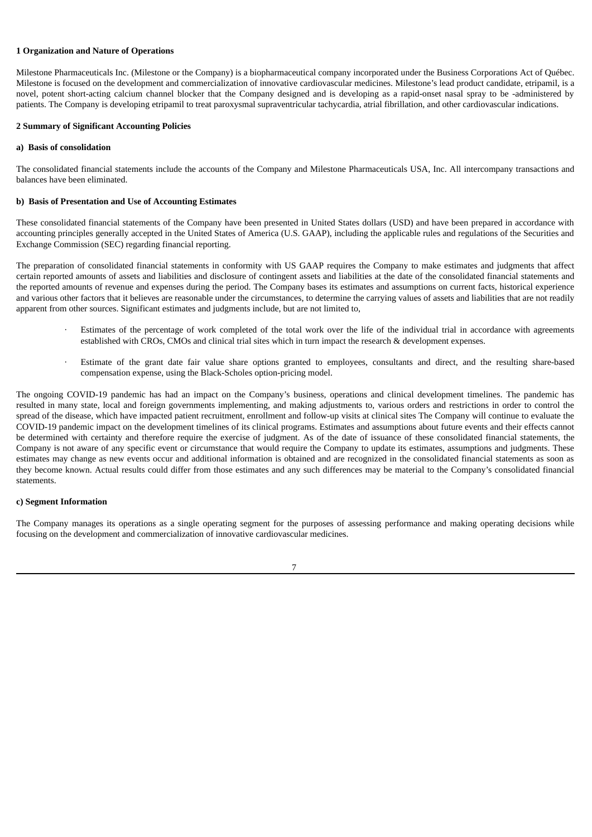#### **1 Organization and Nature of Operations**

Milestone Pharmaceuticals Inc. (Milestone or the Company) is a biopharmaceutical company incorporated under the Business Corporations Act of Québec. Milestone is focused on the development and commercialization of innovative cardiovascular medicines. Milestone's lead product candidate, etripamil, is a novel, potent short-acting calcium channel blocker that the Company designed and is developing as a rapid-onset nasal spray to be -administered by patients. The Company is developing etripamil to treat paroxysmal supraventricular tachycardia, atrial fibrillation, and other cardiovascular indications.

#### **2 Summary of Significant Accounting Policies**

#### **a) Basis of consolidation**

The consolidated financial statements include the accounts of the Company and Milestone Pharmaceuticals USA, Inc. All intercompany transactions and balances have been eliminated.

#### **b) Basis of Presentation and Use of Accounting Estimates**

These consolidated financial statements of the Company have been presented in United States dollars (USD) and have been prepared in accordance with accounting principles generally accepted in the United States of America (U.S. GAAP), including the applicable rules and regulations of the Securities and Exchange Commission (SEC) regarding financial reporting.

The preparation of consolidated financial statements in conformity with US GAAP requires the Company to make estimates and judgments that affect certain reported amounts of assets and liabilities and disclosure of contingent assets and liabilities at the date of the consolidated financial statements and the reported amounts of revenue and expenses during the period. The Company bases its estimates and assumptions on current facts, historical experience and various other factors that it believes are reasonable under the circumstances, to determine the carrying values of assets and liabilities that are not readily apparent from other sources. Significant estimates and judgments include, but are not limited to,

- Estimates of the percentage of work completed of the total work over the life of the individual trial in accordance with agreements established with CROs, CMOs and clinical trial sites which in turn impact the research & development expenses.
- Estimate of the grant date fair value share options granted to employees, consultants and direct, and the resulting share-based compensation expense, using the Black-Scholes option-pricing model.

The ongoing COVID-19 pandemic has had an impact on the Company's business, operations and clinical development timelines. The pandemic has resulted in many state, local and foreign governments implementing, and making adjustments to, various orders and restrictions in order to control the spread of the disease, which have impacted patient recruitment, enrollment and follow-up visits at clinical sites The Company will continue to evaluate the COVID-19 pandemic impact on the development timelines of its clinical programs. Estimates and assumptions about future events and their effects cannot be determined with certainty and therefore require the exercise of judgment. As of the date of issuance of these consolidated financial statements, the Company is not aware of any specific event or circumstance that would require the Company to update its estimates, assumptions and judgments. These estimates may change as new events occur and additional information is obtained and are recognized in the consolidated financial statements as soon as they become known. Actual results could differ from those estimates and any such differences may be material to the Company's consolidated financial statements.

#### **c) Segment Information**

The Company manages its operations as a single operating segment for the purposes of assessing performance and making operating decisions while focusing on the development and commercialization of innovative cardiovascular medicines.

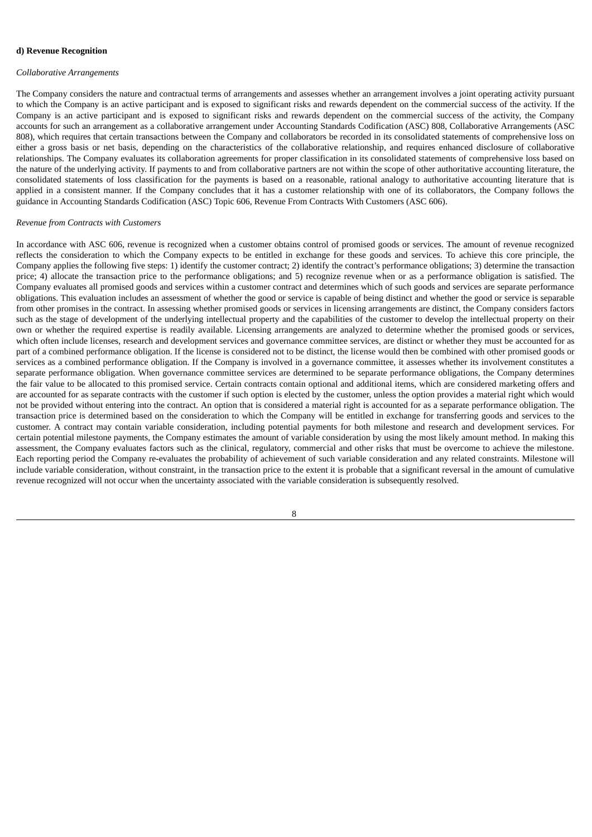#### **d) Revenue Recognition**

#### *Collaborative Arrangements*

The Company considers the nature and contractual terms of arrangements and assesses whether an arrangement involves a joint operating activity pursuant to which the Company is an active participant and is exposed to significant risks and rewards dependent on the commercial success of the activity. If the Company is an active participant and is exposed to significant risks and rewards dependent on the commercial success of the activity, the Company accounts for such an arrangement as a collaborative arrangement under Accounting Standards Codification (ASC) 808, Collaborative Arrangements (ASC 808), which requires that certain transactions between the Company and collaborators be recorded in its consolidated statements of comprehensive loss on either a gross basis or net basis, depending on the characteristics of the collaborative relationship, and requires enhanced disclosure of collaborative relationships. The Company evaluates its collaboration agreements for proper classification in its consolidated statements of comprehensive loss based on the nature of the underlying activity. If payments to and from collaborative partners are not within the scope of other authoritative accounting literature, the consolidated statements of loss classification for the payments is based on a reasonable, rational analogy to authoritative accounting literature that is applied in a consistent manner. If the Company concludes that it has a customer relationship with one of its collaborators, the Company follows the guidance in Accounting Standards Codification (ASC) Topic 606, Revenue From Contracts With Customers (ASC 606).

#### *Revenue from Contracts with Customers*

In accordance with ASC 606, revenue is recognized when a customer obtains control of promised goods or services. The amount of revenue recognized reflects the consideration to which the Company expects to be entitled in exchange for these goods and services. To achieve this core principle, the Company applies the following five steps: 1) identify the customer contract; 2) identify the contract's performance obligations; 3) determine the transaction price; 4) allocate the transaction price to the performance obligations; and 5) recognize revenue when or as a performance obligation is satisfied. The Company evaluates all promised goods and services within a customer contract and determines which of such goods and services are separate performance obligations. This evaluation includes an assessment of whether the good or service is capable of being distinct and whether the good or service is separable from other promises in the contract. In assessing whether promised goods or services in licensing arrangements are distinct, the Company considers factors such as the stage of development of the underlying intellectual property and the capabilities of the customer to develop the intellectual property on their own or whether the required expertise is readily available. Licensing arrangements are analyzed to determine whether the promised goods or services, which often include licenses, research and development services and governance committee services, are distinct or whether they must be accounted for as part of a combined performance obligation. If the license is considered not to be distinct, the license would then be combined with other promised goods or services as a combined performance obligation. If the Company is involved in a governance committee, it assesses whether its involvement constitutes a separate performance obligation. When governance committee services are determined to be separate performance obligations, the Company determines the fair value to be allocated to this promised service. Certain contracts contain optional and additional items, which are considered marketing offers and are accounted for as separate contracts with the customer if such option is elected by the customer, unless the option provides a material right which would not be provided without entering into the contract. An option that is considered a material right is accounted for as a separate performance obligation. The transaction price is determined based on the consideration to which the Company will be entitled in exchange for transferring goods and services to the customer. A contract may contain variable consideration, including potential payments for both milestone and research and development services. For certain potential milestone payments, the Company estimates the amount of variable consideration by using the most likely amount method. In making this assessment, the Company evaluates factors such as the clinical, regulatory, commercial and other risks that must be overcome to achieve the milestone. Each reporting period the Company re-evaluates the probability of achievement of such variable consideration and any related constraints. Milestone will include variable consideration, without constraint, in the transaction price to the extent it is probable that a significant reversal in the amount of cumulative revenue recognized will not occur when the uncertainty associated with the variable consideration is subsequently resolved.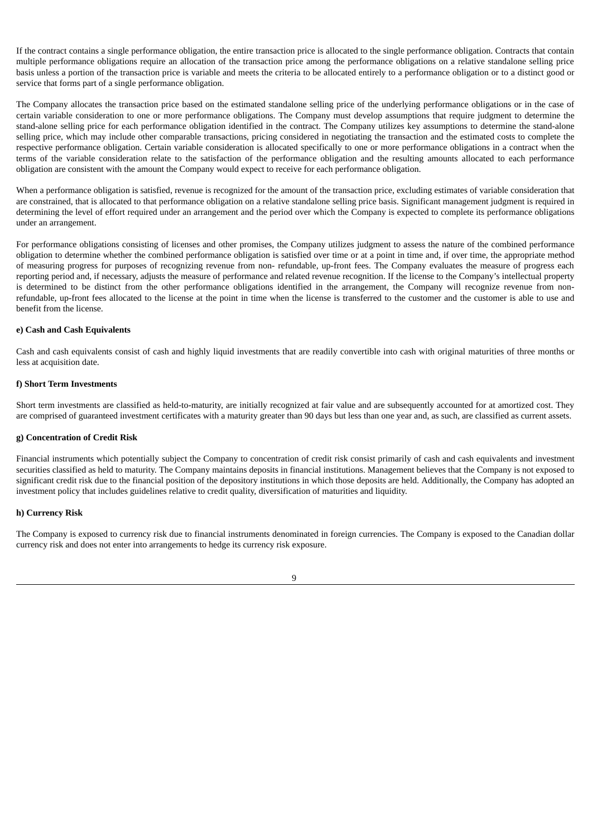If the contract contains a single performance obligation, the entire transaction price is allocated to the single performance obligation. Contracts that contain multiple performance obligations require an allocation of the transaction price among the performance obligations on a relative standalone selling price basis unless a portion of the transaction price is variable and meets the criteria to be allocated entirely to a performance obligation or to a distinct good or service that forms part of a single performance obligation.

The Company allocates the transaction price based on the estimated standalone selling price of the underlying performance obligations or in the case of certain variable consideration to one or more performance obligations. The Company must develop assumptions that require judgment to determine the stand-alone selling price for each performance obligation identified in the contract. The Company utilizes key assumptions to determine the stand-alone selling price, which may include other comparable transactions, pricing considered in negotiating the transaction and the estimated costs to complete the respective performance obligation. Certain variable consideration is allocated specifically to one or more performance obligations in a contract when the terms of the variable consideration relate to the satisfaction of the performance obligation and the resulting amounts allocated to each performance obligation are consistent with the amount the Company would expect to receive for each performance obligation.

When a performance obligation is satisfied, revenue is recognized for the amount of the transaction price, excluding estimates of variable consideration that are constrained, that is allocated to that performance obligation on a relative standalone selling price basis. Significant management judgment is required in determining the level of effort required under an arrangement and the period over which the Company is expected to complete its performance obligations under an arrangement.

For performance obligations consisting of licenses and other promises, the Company utilizes judgment to assess the nature of the combined performance obligation to determine whether the combined performance obligation is satisfied over time or at a point in time and, if over time, the appropriate method of measuring progress for purposes of recognizing revenue from non- refundable, up-front fees. The Company evaluates the measure of progress each reporting period and, if necessary, adjusts the measure of performance and related revenue recognition. If the license to the Company's intellectual property is determined to be distinct from the other performance obligations identified in the arrangement, the Company will recognize revenue from nonrefundable, up-front fees allocated to the license at the point in time when the license is transferred to the customer and the customer is able to use and benefit from the license.

### **e) Cash and Cash Equivalents**

Cash and cash equivalents consist of cash and highly liquid investments that are readily convertible into cash with original maturities of three months or less at acquisition date.

#### **f) Short Term Investments**

Short term investments are classified as held-to-maturity, are initially recognized at fair value and are subsequently accounted for at amortized cost. They are comprised of guaranteed investment certificates with a maturity greater than 90 days but less than one year and, as such, are classified as current assets.

#### **g) Concentration of Credit Risk**

Financial instruments which potentially subject the Company to concentration of credit risk consist primarily of cash and cash equivalents and investment securities classified as held to maturity. The Company maintains deposits in financial institutions. Management believes that the Company is not exposed to significant credit risk due to the financial position of the depository institutions in which those deposits are held. Additionally, the Company has adopted an investment policy that includes guidelines relative to credit quality, diversification of maturities and liquidity.

#### **h) Currency Risk**

The Company is exposed to currency risk due to financial instruments denominated in foreign currencies. The Company is exposed to the Canadian dollar currency risk and does not enter into arrangements to hedge its currency risk exposure.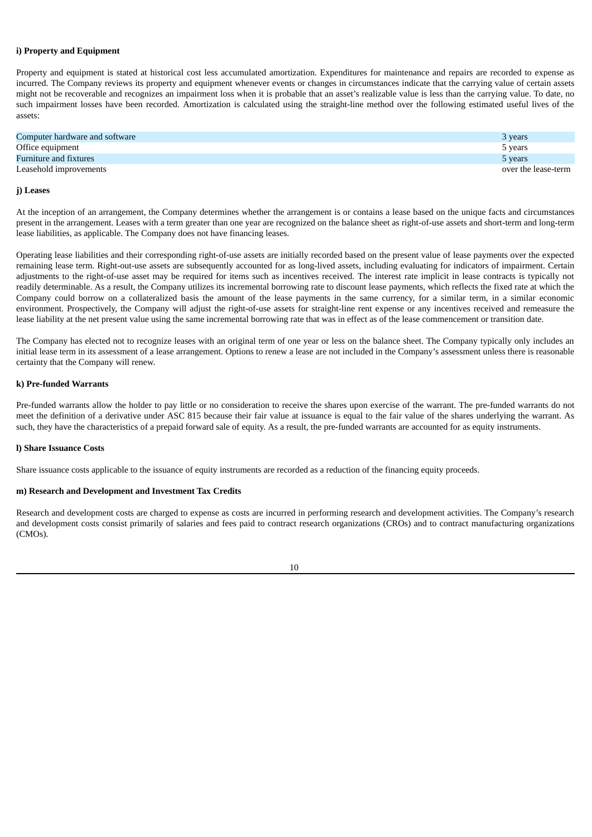#### **i) Property and Equipment**

Property and equipment is stated at historical cost less accumulated amortization. Expenditures for maintenance and repairs are recorded to expense as incurred. The Company reviews its property and equipment whenever events or changes in circumstances indicate that the carrying value of certain assets might not be recoverable and recognizes an impairment loss when it is probable that an asset's realizable value is less than the carrying value. To date, no such impairment losses have been recorded. Amortization is calculated using the straight-line method over the following estimated useful lives of the assets:

| Computer hardware and software | 3 years             |
|--------------------------------|---------------------|
| Office equipment               | 5 years             |
| <b>Furniture and fixtures</b>  | 5 years             |
| Leasehold improvements         | over the lease-term |

#### **j) Leases**

At the inception of an arrangement, the Company determines whether the arrangement is or contains a lease based on the unique facts and circumstances present in the arrangement. Leases with a term greater than one year are recognized on the balance sheet as right-of-use assets and short-term and long-term lease liabilities, as applicable. The Company does not have financing leases.

Operating lease liabilities and their corresponding right-of-use assets are initially recorded based on the present value of lease payments over the expected remaining lease term. Right-out-use assets are subsequently accounted for as long-lived assets, including evaluating for indicators of impairment. Certain adjustments to the right-of-use asset may be required for items such as incentives received. The interest rate implicit in lease contracts is typically not readily determinable. As a result, the Company utilizes its incremental borrowing rate to discount lease payments, which reflects the fixed rate at which the Company could borrow on a collateralized basis the amount of the lease payments in the same currency, for a similar term, in a similar economic environment. Prospectively, the Company will adjust the right-of-use assets for straight-line rent expense or any incentives received and remeasure the lease liability at the net present value using the same incremental borrowing rate that was in effect as of the lease commencement or transition date.

The Company has elected not to recognize leases with an original term of one year or less on the balance sheet. The Company typically only includes an initial lease term in its assessment of a lease arrangement. Options to renew a lease are not included in the Company's assessment unless there is reasonable certainty that the Company will renew.

#### **k) Pre-funded Warrants**

Pre-funded warrants allow the holder to pay little or no consideration to receive the shares upon exercise of the warrant. The pre-funded warrants do not meet the definition of a derivative under ASC 815 because their fair value at issuance is equal to the fair value of the shares underlying the warrant. As such, they have the characteristics of a prepaid forward sale of equity. As a result, the pre-funded warrants are accounted for as equity instruments.

#### **l) Share Issuance Costs**

Share issuance costs applicable to the issuance of equity instruments are recorded as a reduction of the financing equity proceeds.

#### **m) Research and Development and Investment Tax Credits**

Research and development costs are charged to expense as costs are incurred in performing research and development activities. The Company's research and development costs consist primarily of salaries and fees paid to contract research organizations (CROs) and to contract manufacturing organizations (CMOs).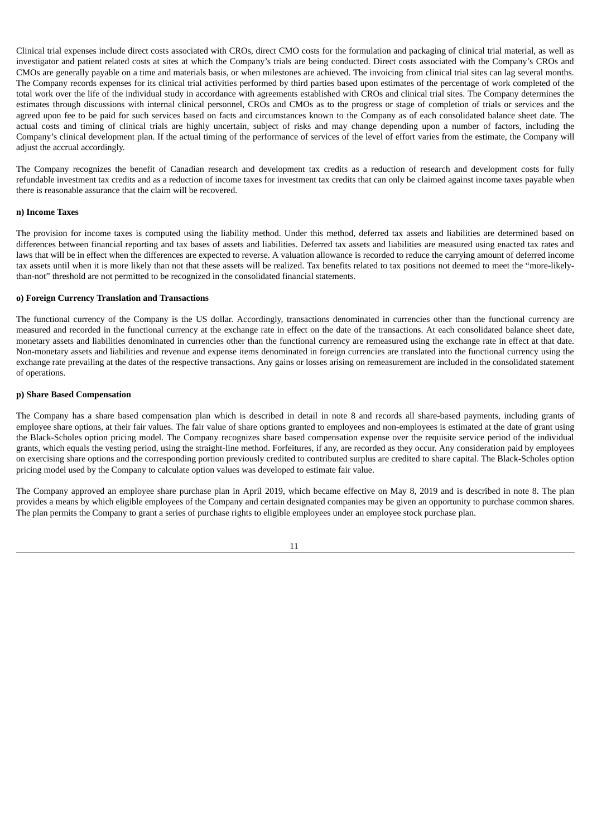Clinical trial expenses include direct costs associated with CROs, direct CMO costs for the formulation and packaging of clinical trial material, as well as investigator and patient related costs at sites at which the Company's trials are being conducted. Direct costs associated with the Company's CROs and CMOs are generally payable on a time and materials basis, or when milestones are achieved. The invoicing from clinical trial sites can lag several months. The Company records expenses for its clinical trial activities performed by third parties based upon estimates of the percentage of work completed of the total work over the life of the individual study in accordance with agreements established with CROs and clinical trial sites. The Company determines the estimates through discussions with internal clinical personnel, CROs and CMOs as to the progress or stage of completion of trials or services and the agreed upon fee to be paid for such services based on facts and circumstances known to the Company as of each consolidated balance sheet date. The actual costs and timing of clinical trials are highly uncertain, subject of risks and may change depending upon a number of factors, including the Company's clinical development plan. If the actual timing of the performance of services of the level of effort varies from the estimate, the Company will adjust the accrual accordingly.

The Company recognizes the benefit of Canadian research and development tax credits as a reduction of research and development costs for fully refundable investment tax credits and as a reduction of income taxes for investment tax credits that can only be claimed against income taxes payable when there is reasonable assurance that the claim will be recovered.

### **n) Income Taxes**

The provision for income taxes is computed using the liability method. Under this method, deferred tax assets and liabilities are determined based on differences between financial reporting and tax bases of assets and liabilities. Deferred tax assets and liabilities are measured using enacted tax rates and laws that will be in effect when the differences are expected to reverse. A valuation allowance is recorded to reduce the carrying amount of deferred income tax assets until when it is more likely than not that these assets will be realized. Tax benefits related to tax positions not deemed to meet the "more-likelythan-not" threshold are not permitted to be recognized in the consolidated financial statements.

#### **o) Foreign Currency Translation and Transactions**

The functional currency of the Company is the US dollar. Accordingly, transactions denominated in currencies other than the functional currency are measured and recorded in the functional currency at the exchange rate in effect on the date of the transactions. At each consolidated balance sheet date, monetary assets and liabilities denominated in currencies other than the functional currency are remeasured using the exchange rate in effect at that date. Non-monetary assets and liabilities and revenue and expense items denominated in foreign currencies are translated into the functional currency using the exchange rate prevailing at the dates of the respective transactions. Any gains or losses arising on remeasurement are included in the consolidated statement of operations.

#### **p) Share Based Compensation**

The Company has a share based compensation plan which is described in detail in note 8 and records all share-based payments, including grants of employee share options, at their fair values. The fair value of share options granted to employees and non-employees is estimated at the date of grant using the Black-Scholes option pricing model. The Company recognizes share based compensation expense over the requisite service period of the individual grants, which equals the vesting period, using the straight-line method. Forfeitures, if any, are recorded as they occur. Any consideration paid by employees on exercising share options and the corresponding portion previously credited to contributed surplus are credited to share capital. The Black-Scholes option pricing model used by the Company to calculate option values was developed to estimate fair value.

The Company approved an employee share purchase plan in April 2019, which became effective on May 8, 2019 and is described in note 8. The plan provides a means by which eligible employees of the Company and certain designated companies may be given an opportunity to purchase common shares. The plan permits the Company to grant a series of purchase rights to eligible employees under an employee stock purchase plan.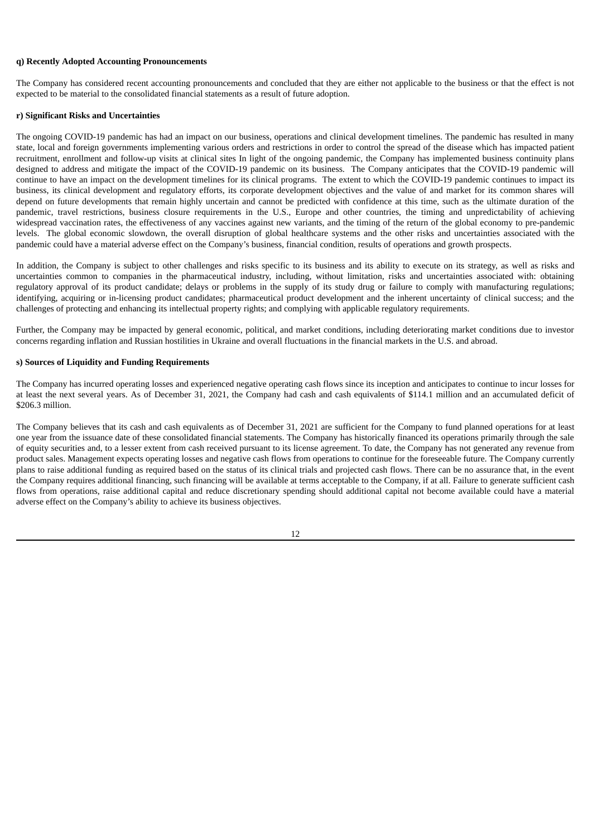#### **q) Recently Adopted Accounting Pronouncements**

The Company has considered recent accounting pronouncements and concluded that they are either not applicable to the business or that the effect is not expected to be material to the consolidated financial statements as a result of future adoption.

#### **r) Significant Risks and Uncertainties**

The ongoing COVID-19 pandemic has had an impact on our business, operations and clinical development timelines. The pandemic has resulted in many state, local and foreign governments implementing various orders and restrictions in order to control the spread of the disease which has impacted patient recruitment, enrollment and follow-up visits at clinical sites In light of the ongoing pandemic, the Company has implemented business continuity plans designed to address and mitigate the impact of the COVID-19 pandemic on its business. The Company anticipates that the COVID-19 pandemic will continue to have an impact on the development timelines for its clinical programs. The extent to which the COVID-19 pandemic continues to impact its business, its clinical development and regulatory efforts, its corporate development objectives and the value of and market for its common shares will depend on future developments that remain highly uncertain and cannot be predicted with confidence at this time, such as the ultimate duration of the pandemic, travel restrictions, business closure requirements in the U.S., Europe and other countries, the timing and unpredictability of achieving widespread vaccination rates, the effectiveness of any vaccines against new variants, and the timing of the return of the global economy to pre-pandemic levels. The global economic slowdown, the overall disruption of global healthcare systems and the other risks and uncertainties associated with the pandemic could have a material adverse effect on the Company's business, financial condition, results of operations and growth prospects.

In addition, the Company is subject to other challenges and risks specific to its business and its ability to execute on its strategy, as well as risks and uncertainties common to companies in the pharmaceutical industry, including, without limitation, risks and uncertainties associated with: obtaining regulatory approval of its product candidate; delays or problems in the supply of its study drug or failure to comply with manufacturing regulations; identifying, acquiring or in-licensing product candidates; pharmaceutical product development and the inherent uncertainty of clinical success; and the challenges of protecting and enhancing its intellectual property rights; and complying with applicable regulatory requirements.

Further, the Company may be impacted by general economic, political, and market conditions, including deteriorating market conditions due to investor concerns regarding inflation and Russian hostilities in Ukraine and overall fluctuations in the financial markets in the U.S. and abroad.

#### **s) Sources of Liquidity and Funding Requirements**

The Company has incurred operating losses and experienced negative operating cash flows since its inception and anticipates to continue to incur losses for at least the next several years. As of December 31, 2021, the Company had cash and cash equivalents of \$114.1 million and an accumulated deficit of \$206.3 million.

The Company believes that its cash and cash equivalents as of December 31, 2021 are sufficient for the Company to fund planned operations for at least one year from the issuance date of these consolidated financial statements. The Company has historically financed its operations primarily through the sale of equity securities and, to a lesser extent from cash received pursuant to its license agreement. To date, the Company has not generated any revenue from product sales. Management expects operating losses and negative cash flows from operations to continue for the foreseeable future. The Company currently plans to raise additional funding as required based on the status of its clinical trials and projected cash flows. There can be no assurance that, in the event the Company requires additional financing, such financing will be available at terms acceptable to the Company, if at all. Failure to generate sufficient cash flows from operations, raise additional capital and reduce discretionary spending should additional capital not become available could have a material adverse effect on the Company's ability to achieve its business objectives.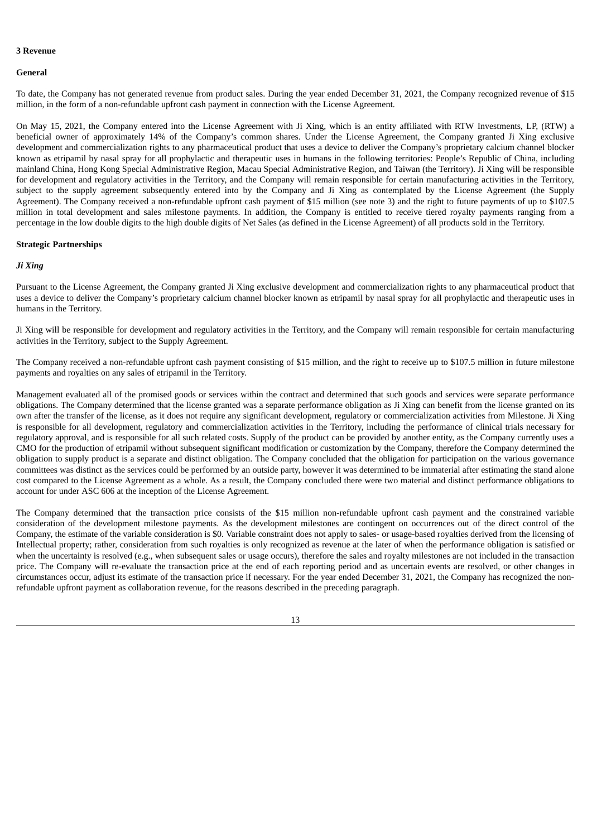#### **3 Revenue**

#### **General**

To date, the Company has not generated revenue from product sales. During the year ended December 31, 2021, the Company recognized revenue of \$15 million, in the form of a non-refundable upfront cash payment in connection with the License Agreement.

On May 15, 2021, the Company entered into the License Agreement with Ji Xing, which is an entity affiliated with RTW Investments, LP, (RTW) a beneficial owner of approximately 14% of the Company's common shares. Under the License Agreement, the Company granted Ji Xing exclusive development and commercialization rights to any pharmaceutical product that uses a device to deliver the Company's proprietary calcium channel blocker known as etripamil by nasal spray for all prophylactic and therapeutic uses in humans in the following territories: People's Republic of China, including mainland China, Hong Kong Special Administrative Region, Macau Special Administrative Region, and Taiwan (the Territory). Ji Xing will be responsible for development and regulatory activities in the Territory, and the Company will remain responsible for certain manufacturing activities in the Territory, subject to the supply agreement subsequently entered into by the Company and Ji Xing as contemplated by the License Agreement (the Supply Agreement). The Company received a non-refundable upfront cash payment of \$15 million (see note 3) and the right to future payments of up to \$107.5 million in total development and sales milestone payments. In addition, the Company is entitled to receive tiered royalty payments ranging from a percentage in the low double digits to the high double digits of Net Sales (as defined in the License Agreement) of all products sold in the Territory.

#### **Strategic Partnerships**

#### *Ji Xing*

Pursuant to the License Agreement, the Company granted Ji Xing exclusive development and commercialization rights to any pharmaceutical product that uses a device to deliver the Company's proprietary calcium channel blocker known as etripamil by nasal spray for all prophylactic and therapeutic uses in humans in the Territory.

Ji Xing will be responsible for development and regulatory activities in the Territory, and the Company will remain responsible for certain manufacturing activities in the Territory, subject to the Supply Agreement.

The Company received a non-refundable upfront cash payment consisting of \$15 million, and the right to receive up to \$107.5 million in future milestone payments and royalties on any sales of etripamil in the Territory.

Management evaluated all of the promised goods or services within the contract and determined that such goods and services were separate performance obligations. The Company determined that the license granted was a separate performance obligation as Ji Xing can benefit from the license granted on its own after the transfer of the license, as it does not require any significant development, regulatory or commercialization activities from Milestone. Ji Xing is responsible for all development, regulatory and commercialization activities in the Territory, including the performance of clinical trials necessary for regulatory approval, and is responsible for all such related costs. Supply of the product can be provided by another entity, as the Company currently uses a CMO for the production of etripamil without subsequent significant modification or customization by the Company, therefore the Company determined the obligation to supply product is a separate and distinct obligation. The Company concluded that the obligation for participation on the various governance committees was distinct as the services could be performed by an outside party, however it was determined to be immaterial after estimating the stand alone cost compared to the License Agreement as a whole. As a result, the Company concluded there were two material and distinct performance obligations to account for under ASC 606 at the inception of the License Agreement.

The Company determined that the transaction price consists of the \$15 million non-refundable upfront cash payment and the constrained variable consideration of the development milestone payments. As the development milestones are contingent on occurrences out of the direct control of the Company, the estimate of the variable consideration is \$0. Variable constraint does not apply to sales- or usage-based royalties derived from the licensing of Intellectual property; rather, consideration from such royalties is only recognized as revenue at the later of when the performance obligation is satisfied or when the uncertainty is resolved (e.g., when subsequent sales or usage occurs), therefore the sales and royalty milestones are not included in the transaction price. The Company will re-evaluate the transaction price at the end of each reporting period and as uncertain events are resolved, or other changes in circumstances occur, adjust its estimate of the transaction price if necessary. For the year ended December 31, 2021, the Company has recognized the nonrefundable upfront payment as collaboration revenue, for the reasons described in the preceding paragraph.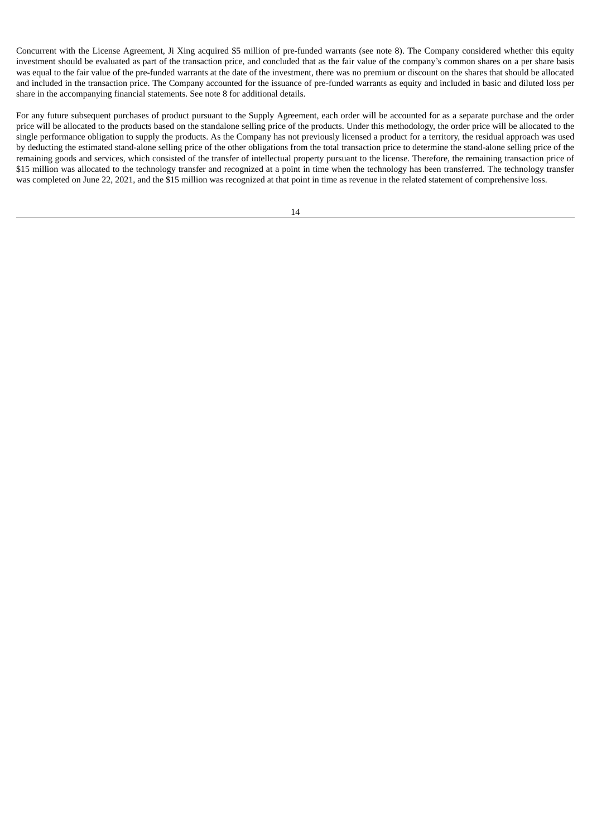Concurrent with the License Agreement, Ji Xing acquired \$5 million of pre-funded warrants (see note 8). The Company considered whether this equity investment should be evaluated as part of the transaction price, and concluded that as the fair value of the company's common shares on a per share basis was equal to the fair value of the pre-funded warrants at the date of the investment, there was no premium or discount on the shares that should be allocated and included in the transaction price. The Company accounted for the issuance of pre-funded warrants as equity and included in basic and diluted loss per share in the accompanying financial statements. See note 8 for additional details.

For any future subsequent purchases of product pursuant to the Supply Agreement, each order will be accounted for as a separate purchase and the order price will be allocated to the products based on the standalone selling price of the products. Under this methodology, the order price will be allocated to the single performance obligation to supply the products. As the Company has not previously licensed a product for a territory, the residual approach was used by deducting the estimated stand-alone selling price of the other obligations from the total transaction price to determine the stand-alone selling price of the remaining goods and services, which consisted of the transfer of intellectual property pursuant to the license. Therefore, the remaining transaction price of \$15 million was allocated to the technology transfer and recognized at a point in time when the technology has been transferred. The technology transfer was completed on June 22, 2021, and the \$15 million was recognized at that point in time as revenue in the related statement of comprehensive loss.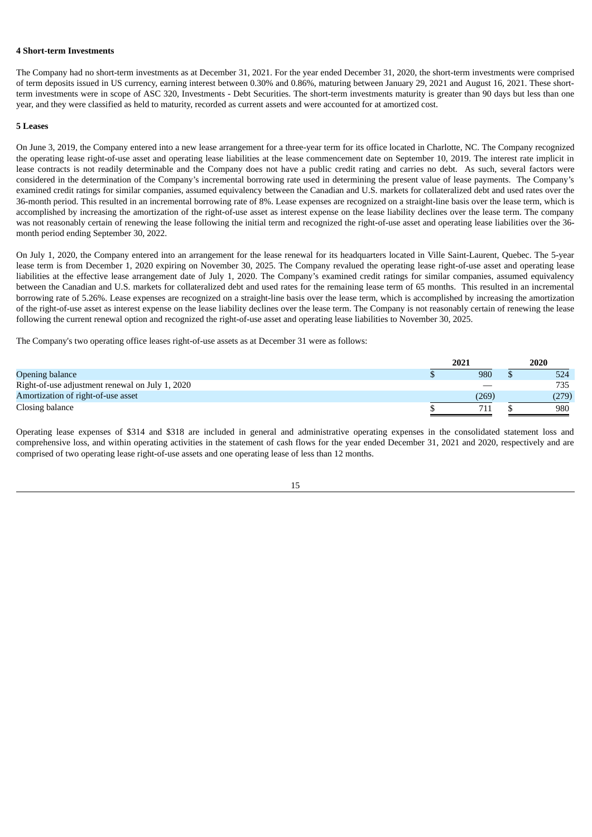#### **4 Short-term Investments**

The Company had no short-term investments as at December 31, 2021. For the year ended December 31, 2020, the short-term investments were comprised of term deposits issued in US currency, earning interest between 0.30% and 0.86%, maturing between January 29, 2021 and August 16, 2021. These shortterm investments were in scope of ASC 320, Investments - Debt Securities. The short-term investments maturity is greater than 90 days but less than one year, and they were classified as held to maturity, recorded as current assets and were accounted for at amortized cost.

#### **5 Leases**

On June 3, 2019, the Company entered into a new lease arrangement for a three-year term for its office located in Charlotte, NC. The Company recognized the operating lease right-of-use asset and operating lease liabilities at the lease commencement date on September 10, 2019. The interest rate implicit in lease contracts is not readily determinable and the Company does not have a public credit rating and carries no debt. As such, several factors were considered in the determination of the Company's incremental borrowing rate used in determining the present value of lease payments. The Company's examined credit ratings for similar companies, assumed equivalency between the Canadian and U.S. markets for collateralized debt and used rates over the 36-month period. This resulted in an incremental borrowing rate of 8%. Lease expenses are recognized on a straight-line basis over the lease term, which is accomplished by increasing the amortization of the right-of-use asset as interest expense on the lease liability declines over the lease term. The company was not reasonably certain of renewing the lease following the initial term and recognized the right-of-use asset and operating lease liabilities over the 36 month period ending September 30, 2022.

On July 1, 2020, the Company entered into an arrangement for the lease renewal for its headquarters located in Ville Saint-Laurent, Quebec. The 5-year lease term is from December 1, 2020 expiring on November 30, 2025. The Company revalued the operating lease right-of-use asset and operating lease liabilities at the effective lease arrangement date of July 1, 2020. The Company's examined credit ratings for similar companies, assumed equivalency between the Canadian and U.S. markets for collateralized debt and used rates for the remaining lease term of 65 months. This resulted in an incremental borrowing rate of 5.26%. Lease expenses are recognized on a straight-line basis over the lease term, which is accomplished by increasing the amortization of the right-of-use asset as interest expense on the lease liability declines over the lease term. The Company is not reasonably certain of renewing the lease following the current renewal option and recognized the right-of-use asset and operating lease liabilities to November 30, 2025.

The Company's two operating office leases right-of-use assets as at December 31 were as follows:

|                                                 | 2021 |            | 2020  |
|-------------------------------------------------|------|------------|-------|
| Opening balance                                 |      | 980        | 524   |
| Right-of-use adjustment renewal on July 1, 2020 |      |            | 735   |
| Amortization of right-of-use asset              |      | (269)      | (279) |
| Closing balance                                 |      | <b>711</b> | 980   |

Operating lease expenses of \$314 and \$318 are included in general and administrative operating expenses in the consolidated statement loss and comprehensive loss, and within operating activities in the statement of cash flows for the year ended December 31, 2021 and 2020, respectively and are comprised of two operating lease right-of-use assets and one operating lease of less than 12 months.

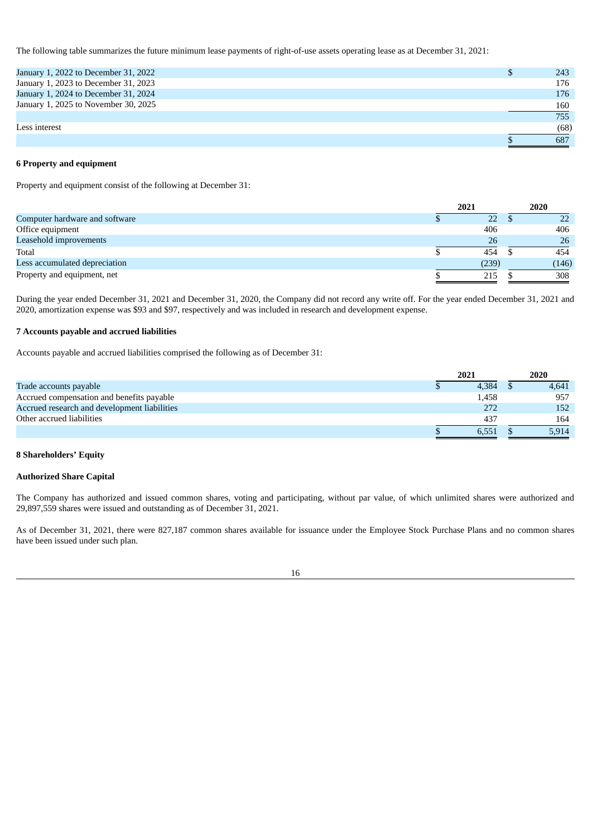The following table summarizes the future minimum lease payments of right-of-use assets operating lease as at December 31, 2021:

| January 1, 2022 to December 31, 2022 | 243  |
|--------------------------------------|------|
| January 1, 2023 to December 31, 2023 | 176  |
| January 1, 2024 to December 31, 2024 | 176  |
| January 1, 2025 to November 30, 2025 | 160  |
|                                      | 755  |
| Less interest                        | (68) |
|                                      | 687  |

#### **6 Property and equipment**

Property and equipment consist of the following at December 31:

|                                | 2021 |       | 2020  |
|--------------------------------|------|-------|-------|
| Computer hardware and software |      | 22    | 22    |
| Office equipment               |      | 406   | 406   |
| Leasehold improvements         |      | 26    | 26    |
| Total                          |      | 454   | 454   |
| Less accumulated depreciation  |      | (239) | (146) |
| Property and equipment, net    |      | 215   | 308   |

During the year ended December 31, 2021 and December 31, 2020, the Company did not record any write off. For the year ended December 31, 2021 and 2020, amortization expense was \$93 and \$97, respectively and was included in research and development expense.

#### **7 Accounts payable and accrued liabilities**

Accounts payable and accrued liabilities comprised the following as of December 31:

|                                              | 2021  | 2020  |
|----------------------------------------------|-------|-------|
| Trade accounts payable                       | 4.384 | 4.641 |
| Accrued compensation and benefits payable    | 1.458 | 957   |
| Accrued research and development liabilities | 272   | 152   |
| Other accrued liabilities                    | 437   | 164   |
|                                              | 6.551 | 5,914 |

#### **8 Shareholders' Equity**

#### **Authorized Share Capital**

The Company has authorized and issued common shares, voting and participating, without par value, of which unlimited shares were authorized and 29,897,559 shares were issued and outstanding as of December 31, 2021.

As of December 31, 2021, there were 827,187 common shares available for issuance under the Employee Stock Purchase Plans and no common shares have been issued under such plan.

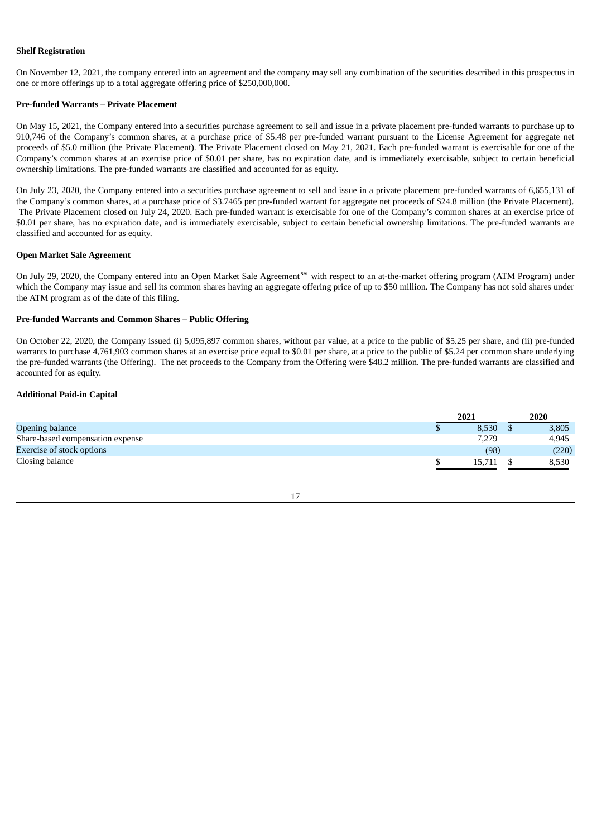#### **Shelf Registration**

On November 12, 2021, the company entered into an agreement and the company may sell any combination of the securities described in this prospectus in one or more offerings up to a total aggregate offering price of \$250,000,000.

#### **Pre-funded Warrants – Private Placement**

On May 15, 2021, the Company entered into a securities purchase agreement to sell and issue in a private placement pre-funded warrants to purchase up to 910,746 of the Company's common shares, at a purchase price of \$5.48 per pre-funded warrant pursuant to the License Agreement for aggregate net proceeds of \$5.0 million (the Private Placement). The Private Placement closed on May 21, 2021. Each pre-funded warrant is exercisable for one of the Company's common shares at an exercise price of \$0.01 per share, has no expiration date, and is immediately exercisable, subject to certain beneficial ownership limitations. The pre-funded warrants are classified and accounted for as equity.

On July 23, 2020, the Company entered into a securities purchase agreement to sell and issue in a private placement pre-funded warrants of 6,655,131 of the Company's common shares, at a purchase price of \$3.7465 per pre-funded warrant for aggregate net proceeds of \$24.8 million (the Private Placement). The Private Placement closed on July 24, 2020. Each pre-funded warrant is exercisable for one of the Company's common shares at an exercise price of \$0.01 per share, has no expiration date, and is immediately exercisable, subject to certain beneficial ownership limitations. The pre-funded warrants are classified and accounted for as equity.

#### **Open Market Sale Agreement**

On July 29, 2020, the Company entered into an Open Market Sale Agreement<sup>5M</sup> with respect to an at-the-market offering program (ATM Program) under which the Company may issue and sell its common shares having an aggregate offering price of up to \$50 million. The Company has not sold shares under the ATM program as of the date of this filing.

#### **Pre-funded Warrants and Common Shares – Public Offering**

On October 22, 2020, the Company issued (i) 5,095,897 common shares, without par value, at a price to the public of \$5.25 per share, and (ii) pre-funded warrants to purchase 4,761,903 common shares at an exercise price equal to \$0.01 per share, at a price to the public of \$5.24 per common share underlying the pre-funded warrants (the Offering). The net proceeds to the Company from the Offering were \$48.2 million. The pre-funded warrants are classified and accounted for as equity.

#### **Additional Paid-in Capital**

|                                  | 2021   | 2020  |
|----------------------------------|--------|-------|
| Opening balance                  | 8,530  | 3,805 |
| Share-based compensation expense | 7,279  | 4.945 |
| <b>Exercise of stock options</b> | (98)   | (220) |
| Closing balance                  | 15.711 | 8,530 |

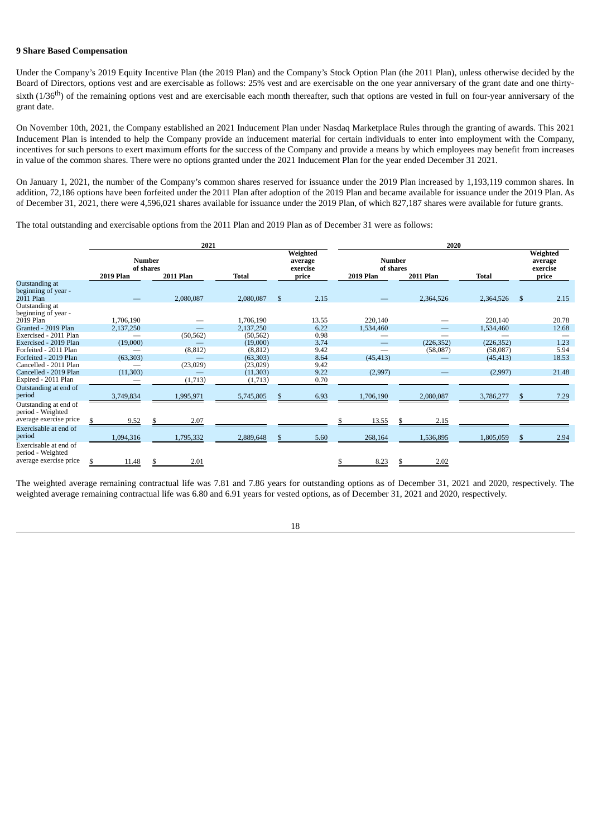#### **9 Share Based Compensation**

Under the Company's 2019 Equity Incentive Plan (the 2019 Plan) and the Company's Stock Option Plan (the 2011 Plan), unless otherwise decided by the Board of Directors, options vest and are exercisable as follows: 25% vest and are exercisable on the one year anniversary of the grant date and one thirtysixth (1/36<sup>th</sup>) of the remaining options vest and are exercisable each month thereafter, such that options are vested in full on four-year anniversary of the grant date.

On November 10th, 2021, the Company established an 2021 Inducement Plan under Nasdaq Marketplace Rules through the granting of awards. This 2021 Inducement Plan is intended to help the Company provide an inducement material for certain individuals to enter into employment with the Company, incentives for such persons to exert maximum efforts for the success of the Company and provide a means by which employees may benefit from increases in value of the common shares. There were no options granted under the 2021 Inducement Plan for the year ended December 31 2021.

On January 1, 2021, the number of the Company's common shares reserved for issuance under the 2019 Plan increased by 1,193,119 common shares. In addition, 72,186 options have been forfeited under the 2011 Plan after adoption of the 2019 Plan and became available for issuance under the 2019 Plan. As of December 31, 2021, there were 4,596,021 shares available for issuance under the 2019 Plan, of which 827,187 shares were available for future grants.

The total outstanding and exercisable options from the 2011 Plan and 2019 Plan as of December 31 were as follows:

|                                                                      |                            | 2021      |                                 |              |       |    |           |               |            |              |               |                                 |
|----------------------------------------------------------------------|----------------------------|-----------|---------------------------------|--------------|-------|----|-----------|---------------|------------|--------------|---------------|---------------------------------|
|                                                                      | <b>Number</b><br>of shares |           | Weighted<br>average<br>exercise |              |       |    | of shares | <b>Number</b> |            |              |               | Weighted<br>average<br>exercise |
|                                                                      | <b>2019 Plan</b>           | 2011 Plan | Total                           |              | price |    | 2019 Plan |               | 2011 Plan  | <b>Total</b> |               | price                           |
| Outstanding at<br>beginning of year -<br>$2011$ Plan                 |                            | 2,080,087 | 2,080,087                       | $\mathbb{S}$ | 2.15  |    |           |               | 2,364,526  | 2,364,526    | <sup>\$</sup> | 2.15                            |
| Outstanding at<br>beginning of year -<br>2019 Plan                   | 1,706,190                  |           | 1,706,190                       |              | 13.55 |    | 220,140   |               |            | 220,140      |               | 20.78                           |
| Granted - 2019 Plan                                                  | 2,137,250                  |           | 2,137,250                       |              | 6.22  |    | 1,534,460 |               |            | 1,534,460    |               | 12.68                           |
| Exercised - 2011 Plan                                                |                            | (50, 562) | (50, 562)                       |              | 0.98  |    |           |               |            |              |               |                                 |
| Exercised - 2019 Plan                                                | (19,000)                   |           | (19,000)                        |              | 3.74  |    |           |               | (226, 352) | (226, 352)   |               | 1.23                            |
| Forfeited - 2011 Plan                                                |                            | (8, 812)  | (8, 812)                        |              | 9.42  |    |           |               | (58,087)   | (58,087)     |               | 5.94                            |
| Forfeited - 2019 Plan                                                | (63, 303)                  |           | (63, 303)                       |              | 8.64  |    | (45, 413) |               |            | (45, 413)    |               | 18.53                           |
| Cancelled - 2011 Plan                                                |                            | (23, 029) | (23, 029)                       |              | 9.42  |    |           |               |            |              |               |                                 |
| Cancelled - 2019 Plan                                                | (11, 303)                  |           | (11, 303)                       |              | 9.22  |    | (2,997)   |               |            | (2,997)      |               | 21.48                           |
| Expired - 2011 Plan                                                  |                            | (1,713)   | (1,713)                         |              | 0.70  |    |           |               |            |              |               |                                 |
| Outstanding at end of<br>period                                      | 3,749,834                  | 1,995,971 | 5,745,805                       |              | 6.93  |    | 1,706,190 |               | 2,080,087  | 3,786,277    |               | 7.29                            |
| Outstanding at end of<br>period - Weighted<br>average exercise price | \$.<br>9.52                | 2.07      |                                 |              |       |    | 13.55     |               | 2.15       |              |               |                                 |
| Exercisable at end of<br>period                                      | 1,094,316                  | 1,795,332 | 2,889,648                       | \$           | 5.60  |    | 268,164   |               | 1,536,895  | 1,805,059    | \$.           | 2.94                            |
| Exercisable at end of<br>period - Weighted<br>average exercise price | \$<br>11.48                | 2.01      |                                 |              |       | \$ | 8.23      |               | 2.02       |              |               |                                 |

The weighted average remaining contractual life was 7.81 and 7.86 years for outstanding options as of December 31, 2021 and 2020, respectively. The weighted average remaining contractual life was 6.80 and 6.91 years for vested options, as of December 31, 2021 and 2020, respectively.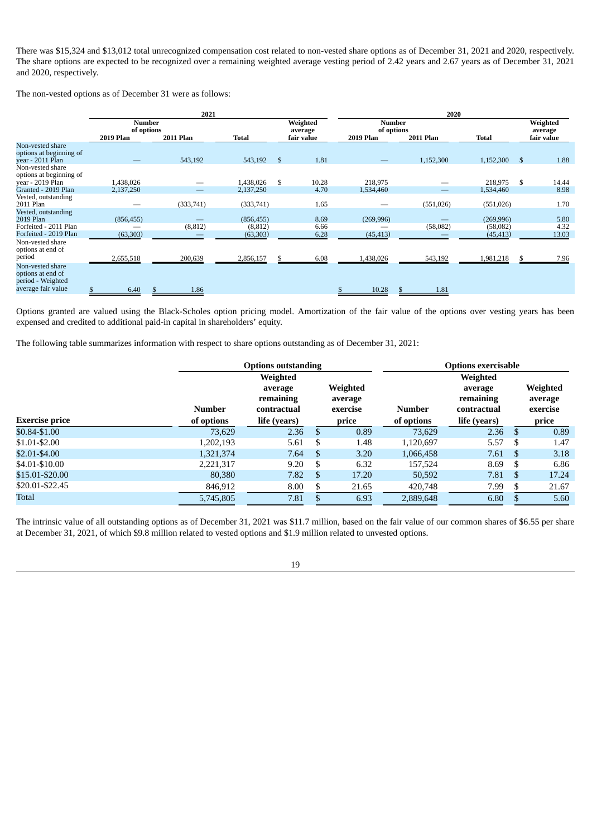There was \$15,324 and \$13,012 total unrecognized compensation cost related to non-vested share options as of December 31, 2021 and 2020, respectively. The share options are expected to be recognized over a remaining weighted average vesting period of 2.42 years and 2.67 years as of December 31, 2021 and 2020, respectively.

The non-vested options as of December 31 were as follows:

|                                                                                  | 2021                        |           |            |    |                     |  | 2020                 |  |            |            |                     |            |  |  |  |  |
|----------------------------------------------------------------------------------|-----------------------------|-----------|------------|----|---------------------|--|----------------------|--|------------|------------|---------------------|------------|--|--|--|--|
|                                                                                  | <b>Number</b><br>of options |           |            |    | Weighted<br>average |  | Number<br>of options |  |            |            | Weighted<br>average |            |  |  |  |  |
|                                                                                  | 2019 Plan                   | 2011 Plan | Total      |    | fair value          |  | <b>2019 Plan</b>     |  | 2011 Plan  | Total      |                     | fair value |  |  |  |  |
| Non-vested share<br>options at beginning of<br>vear - 2011 Plan                  |                             | 543,192   | 543,192    | \$ | 1.81                |  |                      |  | 1,152,300  | 1,152,300  | <b>S</b>            | 1.88       |  |  |  |  |
| Non-vested share<br>options at beginning of<br>vear - 2019 Plan                  | 1,438,026                   |           | 1,438,026  | \$ | 10.28               |  | 218,975              |  |            | 218,975    | -S                  | 14.44      |  |  |  |  |
| Granted - 2019 Plan                                                              | 2,137,250                   |           | 2,137,250  |    | 4.70                |  | 1,534,460            |  |            | 1,534,460  |                     | 8.98       |  |  |  |  |
| Vested, outstanding<br>2011 Plan                                                 |                             | (333,741) | (333,741)  |    | 1.65                |  |                      |  | (551, 026) | (551, 026) |                     | 1.70       |  |  |  |  |
| Vested, outstanding<br>2019 Plan                                                 | (856, 455)                  |           | (856, 455) |    | 8.69                |  | (269,996)            |  |            | (269,996)  |                     | 5.80       |  |  |  |  |
| Forfeited - 2011 Plan                                                            |                             | (8, 812)  | (8, 812)   |    | 6.66                |  |                      |  | (58,082)   | (58,082)   |                     | 4.32       |  |  |  |  |
| Forfeited - 2019 Plan                                                            | (63, 303)                   |           | (63, 303)  |    | 6.28                |  | (45, 413)            |  |            | (45, 413)  |                     | 13.03      |  |  |  |  |
| Non-vested share<br>options at end of<br>period                                  | 2,655,518                   | 200,639   | 2,856,157  | ж  | 6.08                |  | 1,438,026            |  | 543,192    | 1,981,218  |                     | 7.96       |  |  |  |  |
| Non-vested share<br>options at end of<br>period - Weighted<br>average fair value | 6.40                        | 1.86<br>S |            |    |                     |  | 10.28                |  | 1.81       |            |                     |            |  |  |  |  |

Options granted are valued using the Black-Scholes option pricing model. Amortization of the fair value of the options over vesting years has been expensed and credited to additional paid-in capital in shareholders' equity.

The following table summarizes information with respect to share options outstanding as of December 31, 2021:

|                       |                             | <b>Options outstanding</b>                                      |      |                                          | <b>Options exercisable</b>  |                                                                 |     |                                          |  |  |  |  |
|-----------------------|-----------------------------|-----------------------------------------------------------------|------|------------------------------------------|-----------------------------|-----------------------------------------------------------------|-----|------------------------------------------|--|--|--|--|
| <b>Exercise price</b> | <b>Number</b><br>of options | Weighted<br>average<br>remaining<br>contractual<br>life (years) |      | Weighted<br>average<br>exercise<br>price | <b>Number</b><br>of options | Weighted<br>average<br>remaining<br>contractual<br>life (years) |     | Weighted<br>average<br>exercise<br>price |  |  |  |  |
| \$0.84-\$1.00         | 73,629                      | 2.36                                                            |      | 0.89                                     | 73,629                      | 2.36                                                            | \$. | 0.89                                     |  |  |  |  |
| \$1.01-\$2.00         | 1.202.193                   | 5.61                                                            | -S   | 1.48                                     | 1,120,697                   | 5.57                                                            | -S  | 1.47                                     |  |  |  |  |
| \$2.01-\$4.00         | 1.321.374                   | 7.64                                                            | - \$ | 3.20                                     | 1,066,458                   | 7.61                                                            | -S  | 3.18                                     |  |  |  |  |
| \$4.01-\$10.00        | 2,221,317                   | 9.20                                                            | S    | 6.32                                     | 157.524                     | 8.69                                                            | -S  | 6.86                                     |  |  |  |  |
| \$15.01-\$20.00       | 80,380                      | 7.82                                                            | -S   | 17.20                                    | 50,592                      | 7.81                                                            | -S  | 17.24                                    |  |  |  |  |
| \$20.01-\$22.45       | 846,912                     | 8.00                                                            | \$   | 21.65                                    | 420,748                     | 7.99                                                            | -S  | 21.67                                    |  |  |  |  |
| Total                 | 5,745,805                   | 7.81                                                            |      | 6.93                                     | 2,889,648                   | 6.80                                                            |     | 5.60                                     |  |  |  |  |

The intrinsic value of all outstanding options as of December 31, 2021 was \$11.7 million, based on the fair value of our common shares of \$6.55 per share at December 31, 2021, of which \$9.8 million related to vested options and \$1.9 million related to unvested options.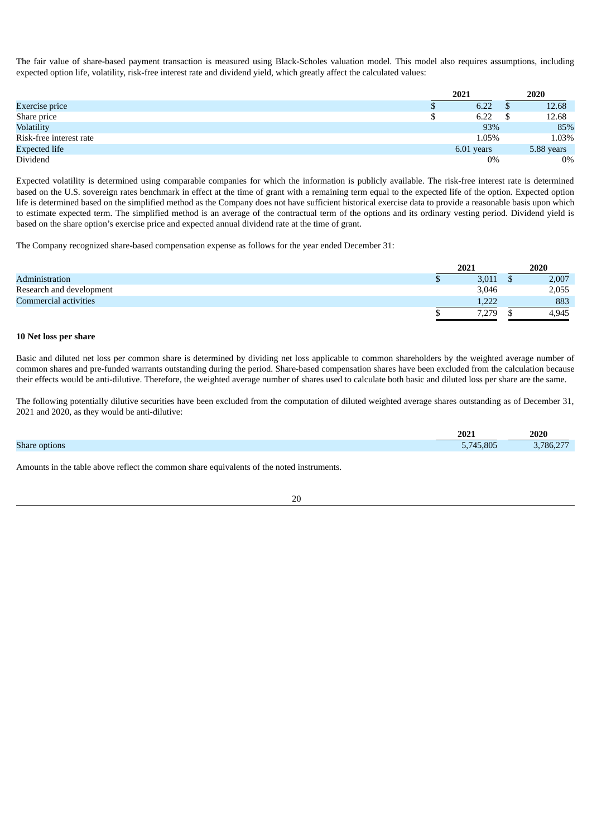The fair value of share-based payment transaction is measured using Black-Scholes valuation model. This model also requires assumptions, including expected option life, volatility, risk-free interest rate and dividend yield, which greatly affect the calculated values:

|                         | 2021       | 2020       |
|-------------------------|------------|------------|
| <b>Exercise</b> price   | 6.22       | 12.68      |
| Share price             | 6.22       | 12.68      |
| <b>Volatility</b>       | 93%        | 85%        |
| Risk-free interest rate | 1.05%      | 1.03%      |
| <b>Expected life</b>    | 6.01 years | 5.88 years |
| Dividend                | $0\%$      | $0\%$      |

Expected volatility is determined using comparable companies for which the information is publicly available. The risk-free interest rate is determined based on the U.S. sovereign rates benchmark in effect at the time of grant with a remaining term equal to the expected life of the option. Expected option life is determined based on the simplified method as the Company does not have sufficient historical exercise data to provide a reasonable basis upon which to estimate expected term. The simplified method is an average of the contractual term of the options and its ordinary vesting period. Dividend yield is based on the share option's exercise price and expected annual dividend rate at the time of grant.

The Company recognized share-based compensation expense as follows for the year ended December 31:

|                          | 2021 |                      | 2020  |
|--------------------------|------|----------------------|-------|
| Administration           | ω    | 3,011                | 2,007 |
| Research and development |      | 3,046                | 2,055 |
| Commercial activities    |      | ררר<br>1. <i>666</i> | 883   |
|                          |      | 7.279                | 4,945 |

#### **10 Net loss per share**

Basic and diluted net loss per common share is determined by dividing net loss applicable to common shareholders by the weighted average number of common shares and pre-funded warrants outstanding during the period. Share-based compensation shares have been excluded from the calculation because their effects would be anti-dilutive. Therefore, the weighted average number of shares used to calculate both basic and diluted loss per share are the same.

The following potentially dilutive securities have been excluded from the computation of diluted weighted average shares outstanding as of December 31, 2021 and 2020, as they would be anti-dilutive:

|                   | 2021   | 2020  |
|-------------------|--------|-------|
| Share op<br>tions | 15,805 | 786.4 |

Amounts in the table above reflect the common share equivalents of the noted instruments.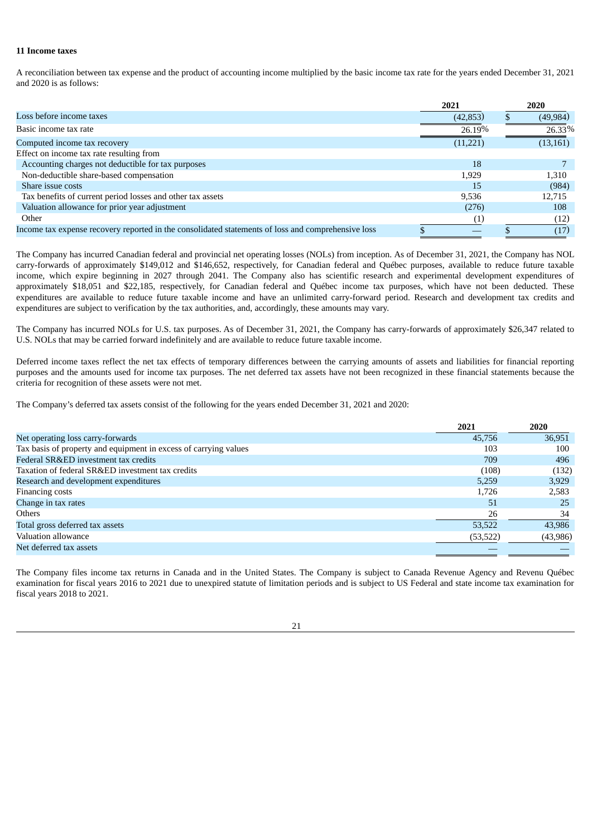#### **11 Income taxes**

A reconciliation between tax expense and the product of accounting income multiplied by the basic income tax rate for the years ended December 31, 2021 and 2020 is as follows:

|                                                                                                    | 2021      | 2020      |
|----------------------------------------------------------------------------------------------------|-----------|-----------|
| Loss before income taxes                                                                           | (42, 853) | (49,984)  |
| Basic income tax rate                                                                              | 26.19%    | 26.33%    |
| Computed income tax recovery                                                                       | (11,221)  | (13, 161) |
| Effect on income tax rate resulting from                                                           |           |           |
| Accounting charges not deductible for tax purposes                                                 | 18        |           |
| Non-deductible share-based compensation                                                            | 1.929     | 1,310     |
| Share issue costs                                                                                  | 15        | (984)     |
| Tax benefits of current period losses and other tax assets                                         | 9.536     | 12,715    |
| Valuation allowance for prior year adjustment                                                      | (276)     | 108       |
| Other                                                                                              |           | (12)      |
| Income tax expense recovery reported in the consolidated statements of loss and comprehensive loss |           | (17)      |

The Company has incurred Canadian federal and provincial net operating losses (NOLs) from inception. As of December 31, 2021, the Company has NOL carry-forwards of approximately \$149,012 and \$146,652, respectively, for Canadian federal and Québec purposes, available to reduce future taxable income, which expire beginning in 2027 through 2041. The Company also has scientific research and experimental development expenditures of approximately \$18,051 and \$22,185, respectively, for Canadian federal and Québec income tax purposes, which have not been deducted. These expenditures are available to reduce future taxable income and have an unlimited carry-forward period. Research and development tax credits and expenditures are subject to verification by the tax authorities, and, accordingly, these amounts may vary.

The Company has incurred NOLs for U.S. tax purposes. As of December 31, 2021, the Company has carry-forwards of approximately \$26,347 related to U.S. NOLs that may be carried forward indefinitely and are available to reduce future taxable income.

Deferred income taxes reflect the net tax effects of temporary differences between the carrying amounts of assets and liabilities for financial reporting purposes and the amounts used for income tax purposes. The net deferred tax assets have not been recognized in these financial statements because the criteria for recognition of these assets were not met.

The Company's deferred tax assets consist of the following for the years ended December 31, 2021 and 2020:

|                                                                  | 2021      | 2020     |
|------------------------------------------------------------------|-----------|----------|
| Net operating loss carry-forwards                                | 45,756    | 36,951   |
| Tax basis of property and equipment in excess of carrying values | 103       | 100      |
| Federal SR&ED investment tax credits                             | 709       | 496      |
| Taxation of federal SR&ED investment tax credits                 | (108)     | (132)    |
| Research and development expenditures                            | 5,259     | 3,929    |
| Financing costs                                                  | 1,726     | 2,583    |
| Change in tax rates                                              | 51        | 25       |
| Others                                                           | 26        | 34       |
| Total gross deferred tax assets                                  | 53,522    | 43,986   |
| Valuation allowance                                              | (53, 522) | (43,986) |
| Net deferred tax assets                                          |           |          |

The Company files income tax returns in Canada and in the United States. The Company is subject to Canada Revenue Agency and Revenu Québec examination for fiscal years 2016 to 2021 due to unexpired statute of limitation periods and is subject to US Federal and state income tax examination for fiscal years 2018 to 2021.

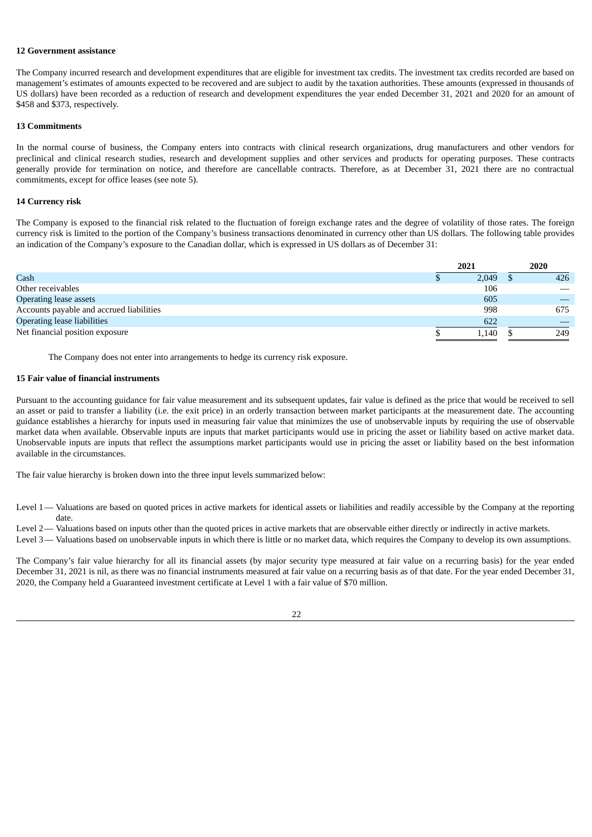#### **12 Government assistance**

The Company incurred research and development expenditures that are eligible for investment tax credits. The investment tax credits recorded are based on management's estimates of amounts expected to be recovered and are subject to audit by the taxation authorities. These amounts (expressed in thousands of US dollars) have been recorded as a reduction of research and development expenditures the year ended December 31, 2021 and 2020 for an amount of \$458 and \$373, respectively.

#### **13 Commitments**

In the normal course of business, the Company enters into contracts with clinical research organizations, drug manufacturers and other vendors for preclinical and clinical research studies, research and development supplies and other services and products for operating purposes. These contracts generally provide for termination on notice, and therefore are cancellable contracts. Therefore, as at December 31, 2021 there are no contractual commitments, except for office leases (see note 5).

#### **14 Currency risk**

The Company is exposed to the financial risk related to the fluctuation of foreign exchange rates and the degree of volatility of those rates. The foreign currency risk is limited to the portion of the Company's business transactions denominated in currency other than US dollars. The following table provides an indication of the Company's exposure to the Canadian dollar, which is expressed in US dollars as of December 31:

|                                          | 2021  | 2020 |
|------------------------------------------|-------|------|
| Cash                                     | 2,049 | 426  |
| Other receivables                        | 106   |      |
| <b>Operating lease assets</b>            | 605   |      |
| Accounts payable and accrued liabilities | 998   | 675  |
| <b>Operating lease liabilities</b>       | 622   |      |
| Net financial position exposure          | 1.140 | 249  |

The Company does not enter into arrangements to hedge its currency risk exposure.

#### **15 Fair value of financial instruments**

Pursuant to the accounting guidance for fair value measurement and its subsequent updates, fair value is defined as the price that would be received to sell an asset or paid to transfer a liability (i.e. the exit price) in an orderly transaction between market participants at the measurement date. The accounting guidance establishes a hierarchy for inputs used in measuring fair value that minimizes the use of unobservable inputs by requiring the use of observable market data when available. Observable inputs are inputs that market participants would use in pricing the asset or liability based on active market data. Unobservable inputs are inputs that reflect the assumptions market participants would use in pricing the asset or liability based on the best information available in the circumstances.

The fair value hierarchy is broken down into the three input levels summarized below:

Level 1— Valuations are based on quoted prices in active markets for identical assets or liabilities and readily accessible by the Company at the reporting date.

Level 2— Valuations based on inputs other than the quoted prices in active markets that are observable either directly or indirectly in active markets.

Level 3— Valuations based on unobservable inputs in which there is little or no market data, which requires the Company to develop its own assumptions.

The Company's fair value hierarchy for all its financial assets (by major security type measured at fair value on a recurring basis) for the year ended December 31, 2021 is nil, as there was no financial instruments measured at fair value on a recurring basis as of that date. For the year ended December 31, 2020, the Company held a Guaranteed investment certificate at Level 1 with a fair value of \$70 million.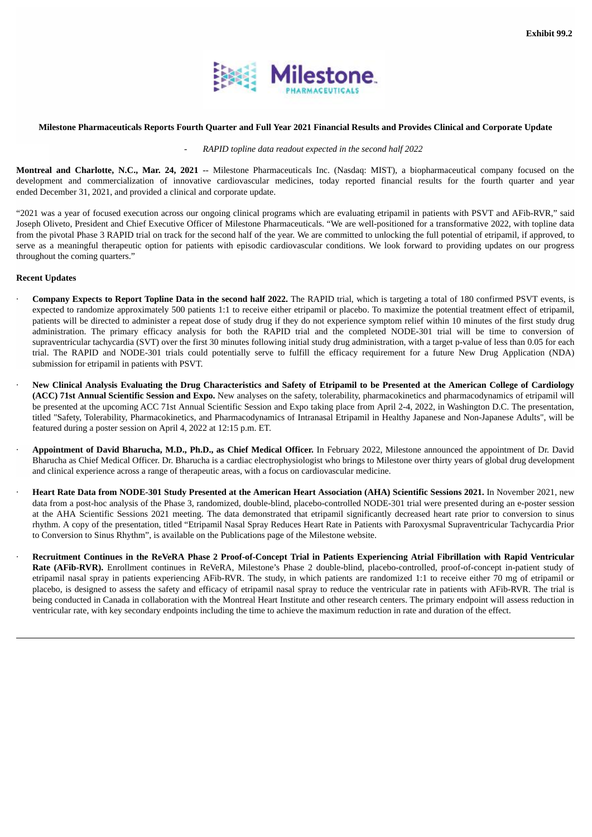

#### <span id="page-25-0"></span>Milestone Pharmaceuticals Reports Fourth Quarter and Full Year 2021 Financial Results and Provides Clinical and Corporate Update

#### - *RAPID topline data readout expected in the second half 2022*

**Montreal and Charlotte, N.C., Mar. 24, 2021** -- Milestone Pharmaceuticals Inc. (Nasdaq: MIST), a biopharmaceutical company focused on the development and commercialization of innovative cardiovascular medicines, today reported financial results for the fourth quarter and year ended December 31, 2021, and provided a clinical and corporate update.

"2021 was a year of focused execution across our ongoing clinical programs which are evaluating etripamil in patients with PSVT and AFib-RVR," said Joseph Oliveto, President and Chief Executive Officer of Milestone Pharmaceuticals. "We are well-positioned for a transformative 2022, with topline data from the pivotal Phase 3 RAPID trial on track for the second half of the year. We are committed to unlocking the full potential of etripamil, if approved, to serve as a meaningful therapeutic option for patients with episodic cardiovascular conditions. We look forward to providing updates on our progress throughout the coming quarters."

#### **Recent Updates**

- · **Company Expects to Report Topline Data in the second half 2022.** The RAPID trial, which is targeting a total of 180 confirmed PSVT events, is expected to randomize approximately 500 patients 1:1 to receive either etripamil or placebo. To maximize the potential treatment effect of etripamil, patients will be directed to administer a repeat dose of study drug if they do not experience symptom relief within 10 minutes of the first study drug administration. The primary efficacy analysis for both the RAPID trial and the completed NODE-301 trial will be time to conversion of supraventricular tachycardia (SVT) over the first 30 minutes following initial study drug administration, with a target p-value of less than 0.05 for each trial. The RAPID and NODE-301 trials could potentially serve to fulfill the efficacy requirement for a future New Drug Application (NDA) submission for etripamil in patients with PSVT.
- New Clinical Analysis Evaluating the Drug Characteristics and Safety of Etripamil to be Presented at the American College of Cardiology **(ACC) 71st Annual Scientific Session and Expo.** New analyses on the safety, tolerability, pharmacokinetics and pharmacodynamics of etripamil will be presented at the upcoming ACC 71st Annual Scientific Session and Expo taking place from April 2-4, 2022, in Washington D.C. The presentation, titled "Safety, Tolerability, Pharmacokinetics, and Pharmacodynamics of Intranasal Etripamil in Healthy Japanese and Non-Japanese Adults", will be featured during a poster session on April 4, 2022 at 12:15 p.m. ET.
- · **Appointment of David Bharucha, M.D., Ph.D., as Chief Medical Officer.** In February 2022, Milestone announced the appointment of Dr. David Bharucha as Chief Medical Officer. Dr. Bharucha is a cardiac electrophysiologist who brings to Milestone over thirty years of global drug development and clinical experience across a range of therapeutic areas, with a focus on cardiovascular medicine.
- Heart Rate Data from NODE-301 Study Presented at the American Heart Association (AHA) Scientific Sessions 2021. In November 2021, new data from a post-hoc analysis of the Phase 3, randomized, double-blind, placebo-controlled NODE-301 trial were presented during an e-poster session at the AHA Scientific Sessions 2021 meeting. The data demonstrated that etripamil significantly decreased heart rate prior to conversion to sinus rhythm. A copy of the presentation, titled "Etripamil Nasal Spray Reduces Heart Rate in Patients with Paroxysmal Supraventricular Tachycardia Prior to Conversion to Sinus Rhythm", is available on the Publications page of the Milestone website.
- Recruitment Continues in the ReVeRA Phase 2 Proof-of-Concept Trial in Patients Experiencing Atrial Fibrillation with Rapid Ventricular **Rate (AFib-RVR).** Enrollment continues in ReVeRA, Milestone's Phase 2 double-blind, placebo-controlled, proof-of-concept in-patient study of etripamil nasal spray in patients experiencing AFib-RVR. The study, in which patients are randomized 1:1 to receive either 70 mg of etripamil or placebo, is designed to assess the safety and efficacy of etripamil nasal spray to reduce the ventricular rate in patients with AFib-RVR. The trial is being conducted in Canada in collaboration with the Montreal Heart Institute and other research centers. The primary endpoint will assess reduction in ventricular rate, with key secondary endpoints including the time to achieve the maximum reduction in rate and duration of the effect.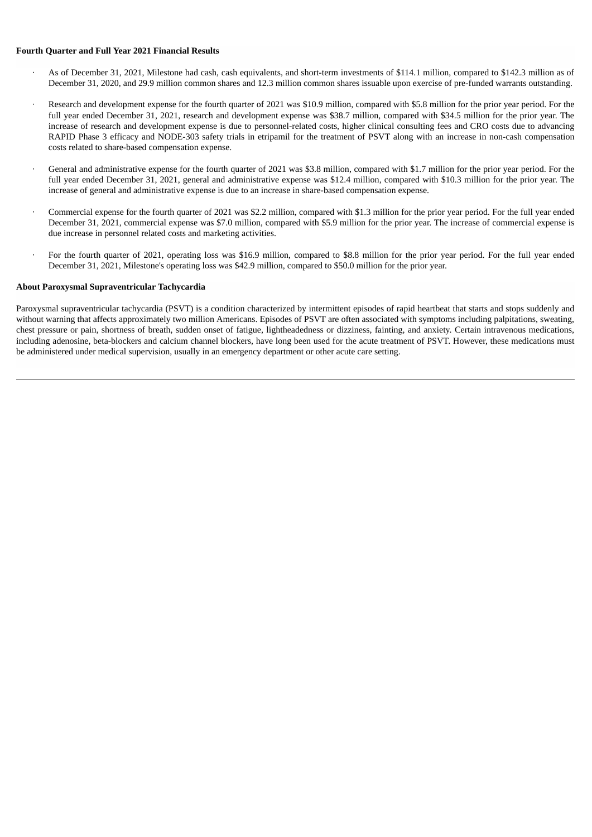#### **Fourth Quarter and Full Year 2021 Financial Results**

- As of December 31, 2021, Milestone had cash, cash equivalents, and short-term investments of \$114.1 million, compared to \$142.3 million as of December 31, 2020, and 29.9 million common shares and 12.3 million common shares issuable upon exercise of pre-funded warrants outstanding.
- Research and development expense for the fourth quarter of 2021 was \$10.9 million, compared with \$5.8 million for the prior year period. For the full year ended December 31, 2021, research and development expense was \$38.7 million, compared with \$34.5 million for the prior year. The increase of research and development expense is due to personnel-related costs, higher clinical consulting fees and CRO costs due to advancing RAPID Phase 3 efficacy and NODE-303 safety trials in etripamil for the treatment of PSVT along with an increase in non-cash compensation costs related to share-based compensation expense.
- · General and administrative expense for the fourth quarter of 2021 was \$3.8 million, compared with \$1.7 million for the prior year period. For the full year ended December 31, 2021, general and administrative expense was \$12.4 million, compared with \$10.3 million for the prior year. The increase of general and administrative expense is due to an increase in share-based compensation expense.
- · Commercial expense for the fourth quarter of 2021 was \$2.2 million, compared with \$1.3 million for the prior year period. For the full year ended December 31, 2021, commercial expense was \$7.0 million, compared with \$5.9 million for the prior year. The increase of commercial expense is due increase in personnel related costs and marketing activities.
- · For the fourth quarter of 2021, operating loss was \$16.9 million, compared to \$8.8 million for the prior year period. For the full year ended December 31, 2021, Milestone's operating loss was \$42.9 million, compared to \$50.0 million for the prior year.

#### **About Paroxysmal Supraventricular Tachycardia**

Paroxysmal supraventricular tachycardia (PSVT) is a condition characterized by intermittent episodes of rapid heartbeat that starts and stops suddenly and without warning that affects approximately two million Americans. Episodes of PSVT are often associated with symptoms including palpitations, sweating, chest pressure or pain, shortness of breath, sudden onset of fatigue, lightheadedness or dizziness, fainting, and anxiety. Certain intravenous medications, including adenosine, beta-blockers and calcium channel blockers, have long been used for the acute treatment of PSVT. However, these medications must be administered under medical supervision, usually in an emergency department or other acute care setting.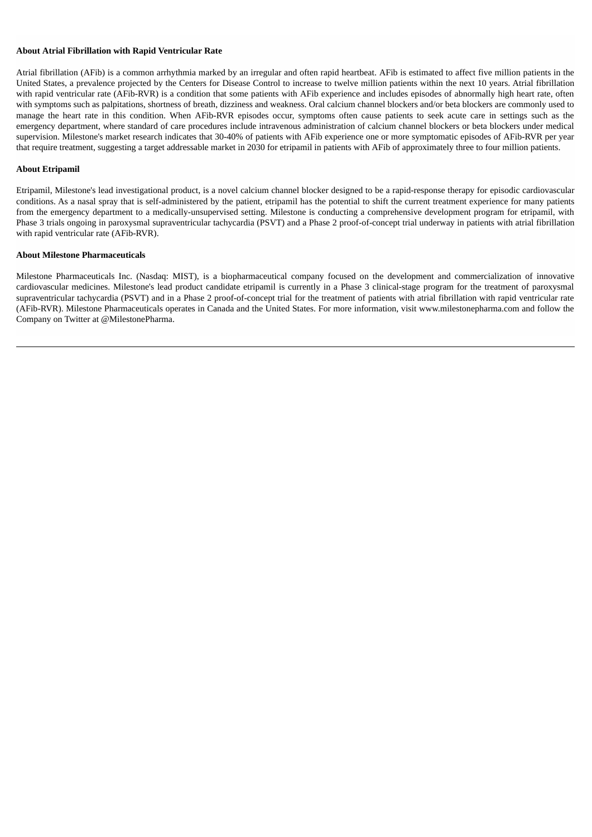#### **About Atrial Fibrillation with Rapid Ventricular Rate**

Atrial fibrillation (AFib) is a common arrhythmia marked by an irregular and often rapid heartbeat. AFib is estimated to affect five million patients in the United States, a prevalence projected by the Centers for Disease Control to increase to twelve million patients within the next 10 years. Atrial fibrillation with rapid ventricular rate (AFib-RVR) is a condition that some patients with AFib experience and includes episodes of abnormally high heart rate, often with symptoms such as palpitations, shortness of breath, dizziness and weakness. Oral calcium channel blockers and/or beta blockers are commonly used to manage the heart rate in this condition. When AFib-RVR episodes occur, symptoms often cause patients to seek acute care in settings such as the emergency department, where standard of care procedures include intravenous administration of calcium channel blockers or beta blockers under medical supervision. Milestone's market research indicates that 30-40% of patients with AFib experience one or more symptomatic episodes of AFib-RVR per year that require treatment, suggesting a target addressable market in 2030 for etripamil in patients with AFib of approximately three to four million patients.

#### **About Etripamil**

Etripamil, Milestone's lead investigational product, is a novel calcium channel blocker designed to be a rapid-response therapy for episodic cardiovascular conditions. As a nasal spray that is self-administered by the patient, etripamil has the potential to shift the current treatment experience for many patients from the emergency department to a medically-unsupervised setting. Milestone is conducting a comprehensive development program for etripamil, with Phase 3 trials ongoing in paroxysmal supraventricular tachycardia (PSVT) and a Phase 2 proof-of-concept trial underway in patients with atrial fibrillation with rapid ventricular rate (AFib-RVR).

### **About Milestone Pharmaceuticals**

Milestone Pharmaceuticals Inc. (Nasdaq: MIST), is a biopharmaceutical company focused on the development and commercialization of innovative cardiovascular medicines. Milestone's lead product candidate etripamil is currently in a Phase 3 clinical-stage program for the treatment of paroxysmal supraventricular tachycardia (PSVT) and in a Phase 2 proof-of-concept trial for the treatment of patients with atrial fibrillation with rapid ventricular rate (AFib-RVR). Milestone Pharmaceuticals operates in Canada and the United States. For more information, visit www.milestonepharma.com and follow the Company on Twitter at @MilestonePharma.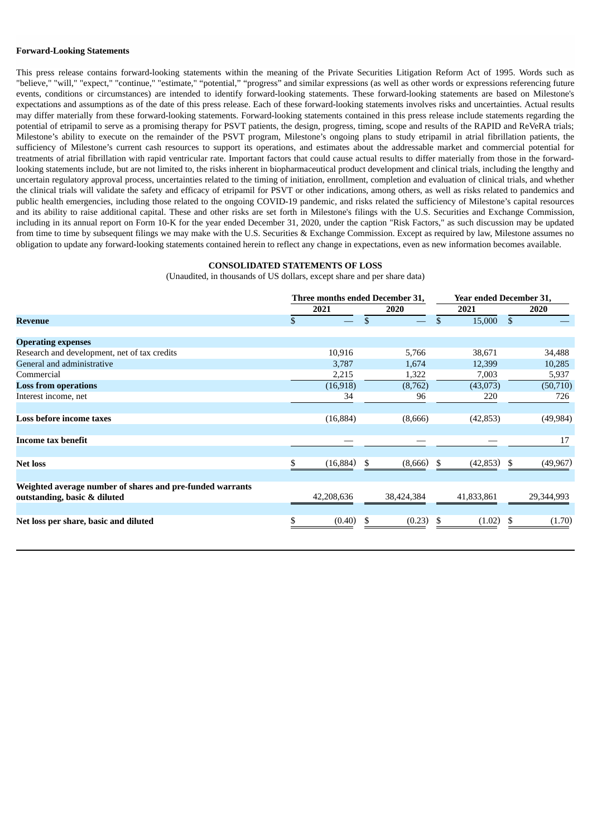#### **Forward-Looking Statements**

This press release contains forward-looking statements within the meaning of the Private Securities Litigation Reform Act of 1995. Words such as "believe," "will," "expect," "continue," "estimate," "potential," "progress" and similar expressions (as well as other words or expressions referencing future events, conditions or circumstances) are intended to identify forward-looking statements. These forward-looking statements are based on Milestone's expectations and assumptions as of the date of this press release. Each of these forward-looking statements involves risks and uncertainties. Actual results may differ materially from these forward-looking statements. Forward-looking statements contained in this press release include statements regarding the potential of etripamil to serve as a promising therapy for PSVT patients, the design, progress, timing, scope and results of the RAPID and ReVeRA trials; Milestone's ability to execute on the remainder of the PSVT program, Milestone's ongoing plans to study etripamil in atrial fibrillation patients, the sufficiency of Milestone's current cash resources to support its operations, and estimates about the addressable market and commercial potential for treatments of atrial fibrillation with rapid ventricular rate. Important factors that could cause actual results to differ materially from those in the forwardlooking statements include, but are not limited to, the risks inherent in biopharmaceutical product development and clinical trials, including the lengthy and uncertain regulatory approval process, uncertainties related to the timing of initiation, enrollment, completion and evaluation of clinical trials, and whether the clinical trials will validate the safety and efficacy of etripamil for PSVT or other indications, among others, as well as risks related to pandemics and public health emergencies, including those related to the ongoing COVID-19 pandemic, and risks related the sufficiency of Milestone's capital resources and its ability to raise additional capital. These and other risks are set forth in Milestone's filings with the U.S. Securities and Exchange Commission, including in its annual report on Form 10-K for the year ended December 31, 2020, under the caption "Risk Factors," as such discussion may be updated from time to time by subsequent filings we may make with the U.S. Securities & Exchange Commission. Except as required by law, Milestone assumes no obligation to update any forward-looking statements contained herein to reflect any change in expectations, even as new information becomes available.

#### **CONSOLIDATED STATEMENTS OF LOSS**

(Unaudited, in thousands of US dollars, except share and per share data)

|                                                           | Three months ended December 31, |            |    |              | Year ended December 31, |            |                |            |  |
|-----------------------------------------------------------|---------------------------------|------------|----|--------------|-------------------------|------------|----------------|------------|--|
|                                                           |                                 | 2021       |    | 2020         |                         | 2021       |                | 2020       |  |
| Revenue                                                   | \$                              |            | \$ |              |                         | 15,000     | $\mathfrak{S}$ |            |  |
| <b>Operating expenses</b>                                 |                                 |            |    |              |                         |            |                |            |  |
| Research and development, net of tax credits              |                                 | 10,916     |    | 5,766        |                         | 38,671     |                | 34,488     |  |
| General and administrative                                |                                 | 3,787      |    | 1,674        |                         | 12,399     |                | 10,285     |  |
| Commercial                                                |                                 | 2,215      |    | 1,322        |                         | 7,003      |                | 5,937      |  |
| <b>Loss from operations</b>                               |                                 | (16,918)   |    | (8,762)      |                         | (43,073)   |                | (50,710)   |  |
| Interest income, net                                      |                                 | 34         |    | 96           |                         | 220        |                | 726        |  |
|                                                           |                                 |            |    |              |                         |            |                |            |  |
| Loss before income taxes                                  |                                 | (16, 884)  |    | (8,666)      |                         | (42, 853)  |                | (49, 984)  |  |
|                                                           |                                 |            |    |              |                         |            |                |            |  |
| Income tax benefit                                        |                                 |            |    |              |                         |            |                | 17         |  |
|                                                           |                                 |            |    |              |                         |            |                |            |  |
| <b>Net loss</b>                                           |                                 | (16, 884)  | S. | $(8,666)$ \$ |                         | (42, 853)  | -S             | (49, 967)  |  |
|                                                           |                                 |            |    |              |                         |            |                |            |  |
| Weighted average number of shares and pre-funded warrants |                                 |            |    |              |                         |            |                |            |  |
| outstanding, basic & diluted                              |                                 | 42,208,636 |    | 38,424,384   |                         | 41,833,861 |                | 29,344,993 |  |
|                                                           |                                 |            |    |              |                         |            |                |            |  |
| Net loss per share, basic and diluted                     |                                 | (0.40)     | S. | (0.23)       | -S                      | (1.02)     | -S             | (1.70)     |  |
|                                                           |                                 |            |    |              |                         |            |                |            |  |